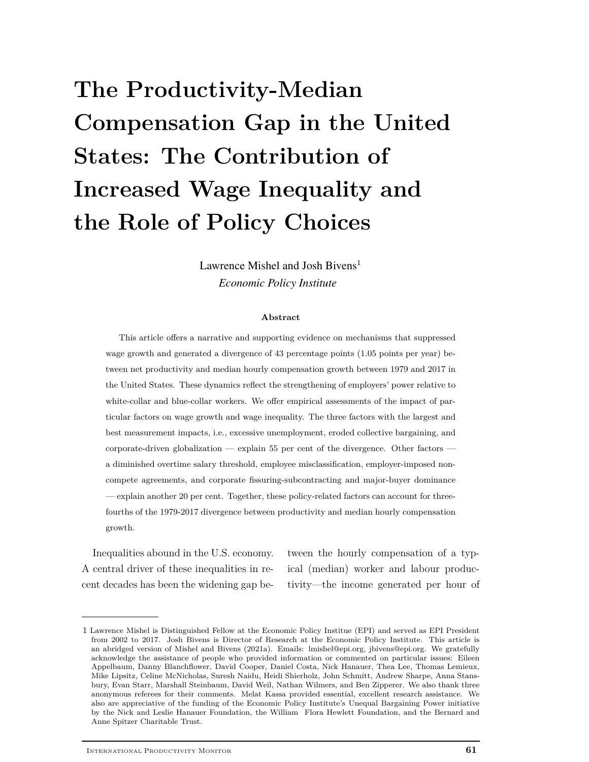# **The Productivity-Median Compensation Gap in the United States: The Contribution of Increased Wage Inequality and the Role of Policy Choices**

Lawrence Mishel and Josh Bivens<sup>1</sup> *Economic Policy Institute*

#### **Abstract**

This article offers a narrative and supporting evidence on mechanisms that suppressed wage growth and generated a divergence of 43 percentage points (1.05 points per year) between net productivity and median hourly compensation growth between 1979 and 2017 in the United States. These dynamics reflect the strengthening of employers' power relative to white-collar and blue-collar workers. We offer empirical assessments of the impact of particular factors on wage growth and wage inequality. The three factors with the largest and best measurement impacts, i.e., excessive unemployment, eroded collective bargaining, and corporate-driven globalization — explain 55 per cent of the divergence. Other factors a diminished overtime salary threshold, employee misclassification, employer-imposed noncompete agreements, and corporate fissuring-subcontracting and major-buyer dominance — explain another 20 per cent. Together, these policy-related factors can account for threefourths of the 1979-2017 divergence between productivity and median hourly compensation growth.

Inequalities abound in the U.S. economy. A central driver of these inequalities in recent decades has been the widening gap between the hourly compensation of a typical (median) worker and labour productivity—the income generated per hour of

<sup>1</sup> Lawrence Mishel is Distinguished Fellow at the Economic Policy Institue (EPI) and served as EPI President from 2002 to 2017. Josh Bivens is Director of Research at the Economic Policy Institute. This article is an abridged version of Mishel and Bivens (2021a). Emails: lmishel@epi.org, jbivens@epi.org. We gratefully acknowledge the assistance of people who provided information or commented on particular issues: Eileen Appelbaum, Danny Blanchflower, David Cooper, Daniel Costa, Nick Hanauer, Thea Lee, Thomas Lemieux, Mike Lipsitz, Celine McNicholas, Suresh Naidu, Heidi Shierholz, John Schmitt, Andrew Sharpe, Anna Stansbury, Evan Starr, Marshall Steinbaum, David Weil, Nathan Wilmers, and Ben Zipperer. We also thank three anonymous referees for their comments. Melat Kassa provided essential, excellent research assistance. We also are appreciative of the funding of the Economic Policy Institute's Unequal Bargaining Power initiative by the Nick and Leslie Hanauer Foundation, the William Flora Hewlett Foundation, and the Bernard and Anne Spitzer Charitable Trust.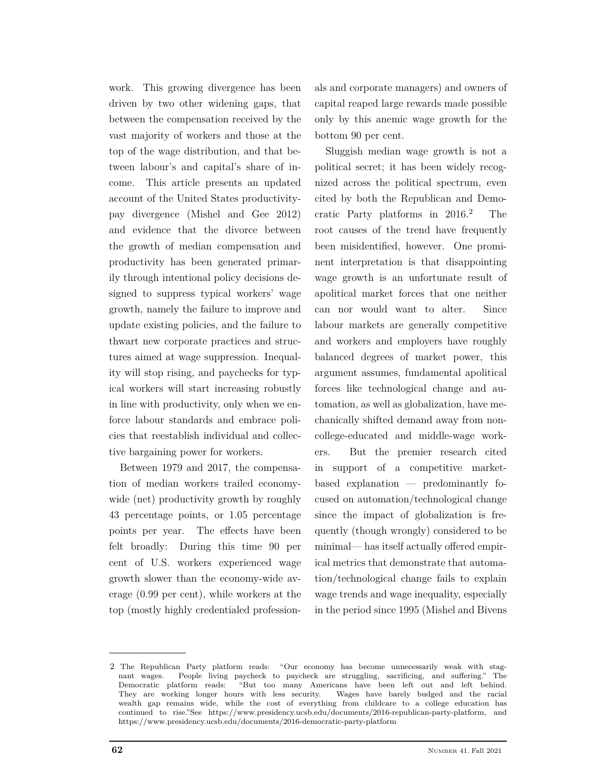work. This growing divergence has been driven by two other widening gaps, that between the compensation received by the vast majority of workers and those at the top of the wage distribution, and that between labour's and capital's share of income. This article presents an updated account of the United States productivitypay divergence (Mishel and Gee 2012) and evidence that the divorce between the growth of median compensation and productivity has been generated primarily through intentional policy decisions designed to suppress typical workers' wage growth, namely the failure to improve and update existing policies, and the failure to thwart new corporate practices and structures aimed at wage suppression. Inequality will stop rising, and paychecks for typical workers will start increasing robustly in line with productivity, only when we enforce labour standards and embrace policies that reestablish individual and collective bargaining power for workers.

Between 1979 and 2017, the compensation of median workers trailed economywide (net) productivity growth by roughly 43 percentage points, or 1.05 percentage points per year. The effects have been felt broadly: During this time 90 per cent of U.S. workers experienced wage growth slower than the economy-wide average (0.99 per cent), while workers at the top (mostly highly credentialed professionals and corporate managers) and owners of capital reaped large rewards made possible only by this anemic wage growth for the bottom 90 per cent.

Sluggish median wage growth is not a political secret; it has been widely recognized across the political spectrum, even cited by both the Republican and Democratic Party platforms in  $2016.<sup>2</sup>$  The root causes of the trend have frequently been misidentified, however. One prominent interpretation is that disappointing wage growth is an unfortunate result of apolitical market forces that one neither can nor would want to alter. Since labour markets are generally competitive and workers and employers have roughly balanced degrees of market power, this argument assumes, fundamental apolitical forces like technological change and automation, as well as globalization, have mechanically shifted demand away from noncollege-educated and middle-wage workers. But the premier research cited in support of a competitive marketbased explanation — predominantly focused on automation/technological change since the impact of globalization is frequently (though wrongly) considered to be minimal— has itself actually offered empirical metrics that demonstrate that automation/technological change fails to explain wage trends and wage inequality, especially in the period since 1995 (Mishel and Bivens

<sup>2</sup> The Republican Party platform reads: "Our economy has become unnecessarily weak with stag-<br>nant wages. People living paycheck to paycheck are struggling, sacrificing, and suffering." The People living paycheck to paycheck are struggling, sacrificing, and suffering." The Democratic platform reads: "But too many Americans have been left out and left behind.<br>They are working longer hours with less security. Wages have barely budged and the racial They are working longer hours with less security. wealth gap remains wide, while the cost of everything from childcare to a college education has continued to rise."See https://www.presidency.ucsb.edu/documents/2016-republican-party-platform, and https://www.presidency.ucsb.edu/documents/2016-democratic-party-platform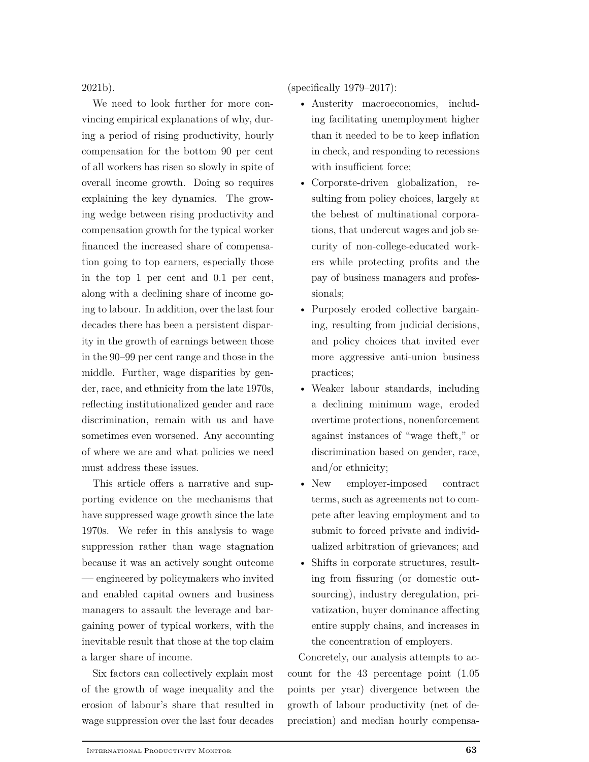2021b).

We need to look further for more convincing empirical explanations of why, during a period of rising productivity, hourly compensation for the bottom 90 per cent of all workers has risen so slowly in spite of overall income growth. Doing so requires explaining the key dynamics. The growing wedge between rising productivity and compensation growth for the typical worker financed the increased share of compensation going to top earners, especially those in the top 1 per cent and 0.1 per cent, along with a declining share of income going to labour. In addition, over the last four decades there has been a persistent disparity in the growth of earnings between those in the 90–99 per cent range and those in the middle. Further, wage disparities by gender, race, and ethnicity from the late 1970s, reflecting institutionalized gender and race discrimination, remain with us and have sometimes even worsened. Any accounting of where we are and what policies we need must address these issues.

This article offers a narrative and supporting evidence on the mechanisms that have suppressed wage growth since the late 1970s. We refer in this analysis to wage suppression rather than wage stagnation because it was an actively sought outcome **—** engineered by policymakers who invited and enabled capital owners and business managers to assault the leverage and bargaining power of typical workers, with the inevitable result that those at the top claim a larger share of income.

Six factors can collectively explain most of the growth of wage inequality and the erosion of labour's share that resulted in wage suppression over the last four decades (specifically 1979–2017):

- Austerity macroeconomics, including facilitating unemployment higher than it needed to be to keep inflation in check, and responding to recessions with insufficient force;
- Corporate-driven globalization, resulting from policy choices, largely at the behest of multinational corporations, that undercut wages and job security of non-college-educated workers while protecting profits and the pay of business managers and professionals;
- Purposely eroded collective bargaining, resulting from judicial decisions, and policy choices that invited ever more aggressive anti-union business practices;
- Weaker labour standards, including a declining minimum wage, eroded overtime protections, nonenforcement against instances of "wage theft," or discrimination based on gender, race, and/or ethnicity;
- New employer-imposed contract terms, such as agreements not to compete after leaving employment and to submit to forced private and individualized arbitration of grievances; and
- Shifts in corporate structures, resulting from fissuring (or domestic outsourcing), industry deregulation, privatization, buyer dominance affecting entire supply chains, and increases in the concentration of employers.

Concretely, our analysis attempts to account for the 43 percentage point (1.05 points per year) divergence between the growth of labour productivity (net of depreciation) and median hourly compensa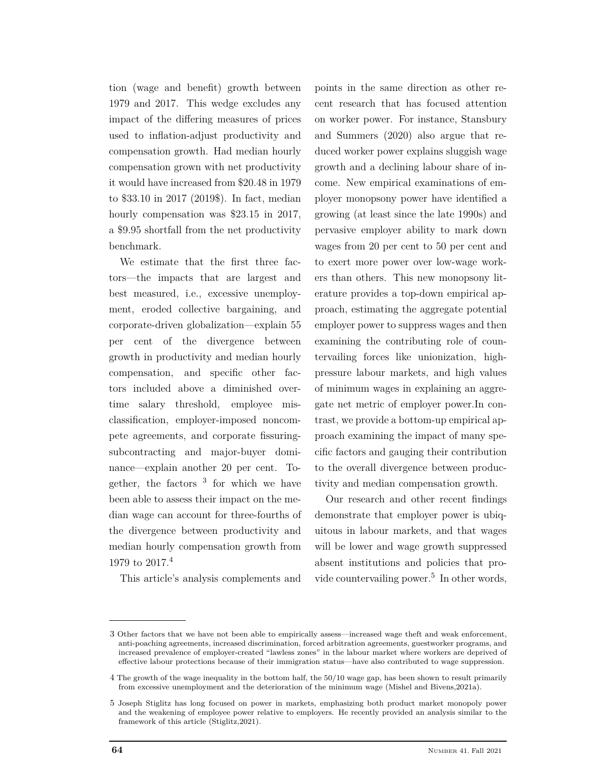tion (wage and benefit) growth between 1979 and 2017. This wedge excludes any impact of the differing measures of prices used to inflation-adjust productivity and compensation growth. Had median hourly compensation grown with net productivity it would have increased from \$20.48 in 1979 to \$33.10 in 2017 (2019\$). In fact, median hourly compensation was \$23.15 in 2017, a \$9.95 shortfall from the net productivity benchmark.

We estimate that the first three factors—the impacts that are largest and best measured, i.e., excessive unemployment, eroded collective bargaining, and corporate-driven globalization—explain 55 per cent of the divergence between growth in productivity and median hourly compensation, and specific other factors included above a diminished overtime salary threshold, employee misclassification, employer-imposed noncompete agreements, and corporate fissuringsubcontracting and major-buyer dominance—explain another 20 per cent. Together, the factors <sup>3</sup> for which we have been able to assess their impact on the median wage can account for three-fourths of the divergence between productivity and median hourly compensation growth from 1979 to 2017.<sup>4</sup>

points in the same direction as other recent research that has focused attention on worker power. For instance, Stansbury and Summers (2020) also argue that reduced worker power explains sluggish wage growth and a declining labour share of income. New empirical examinations of employer monopsony power have identified a growing (at least since the late 1990s) and pervasive employer ability to mark down wages from 20 per cent to 50 per cent and to exert more power over low-wage workers than others. This new monopsony literature provides a top-down empirical approach, estimating the aggregate potential employer power to suppress wages and then examining the contributing role of countervailing forces like unionization, highpressure labour markets, and high values of minimum wages in explaining an aggregate net metric of employer power.In contrast, we provide a bottom-up empirical approach examining the impact of many specific factors and gauging their contribution to the overall divergence between productivity and median compensation growth.

Our research and other recent findings demonstrate that employer power is ubiquitous in labour markets, and that wages will be lower and wage growth suppressed absent institutions and policies that provide countervailing power.<sup>5</sup> In other words,

This article's analysis complements and

<sup>3</sup> Other factors that we have not been able to empirically assess—increased wage theft and weak enforcement, anti-poaching agreements, increased discrimination, forced arbitration agreements, guestworker programs, and increased prevalence of employer-created "lawless zones" in the labour market where workers are deprived of effective labour protections because of their immigration status—have also contributed to wage suppression.

<sup>4</sup> The growth of the wage inequality in the bottom half, the 50/10 wage gap, has been shown to result primarily from excessive unemployment and the deterioration of the minimum wage (Mishel and Bivens,2021a).

<sup>5</sup> Joseph Stiglitz has long focused on power in markets, emphasizing both product market monopoly power and the weakening of employee power relative to employers. He recently provided an analysis similar to the framework of this article (Stiglitz,2021).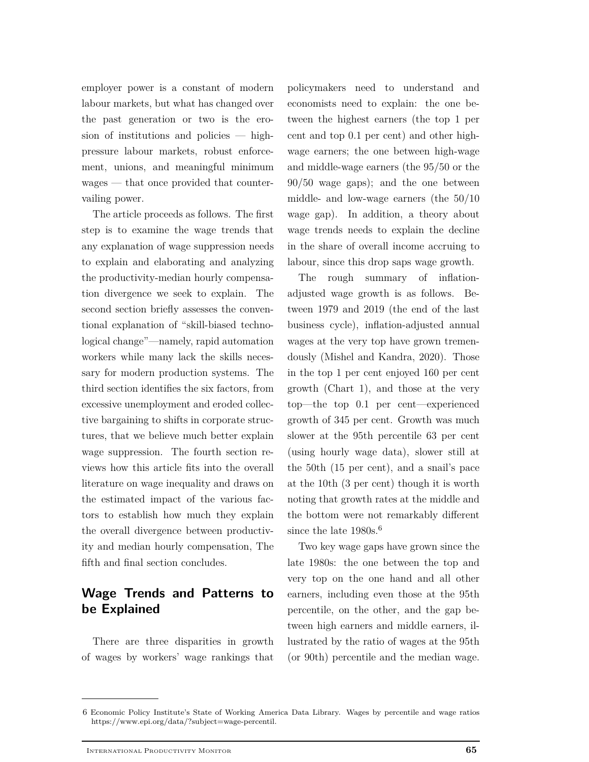employer power is a constant of modern labour markets, but what has changed over the past generation or two is the erosion of institutions and policies — highpressure labour markets, robust enforcement, unions, and meaningful minimum wages — that once provided that countervailing power.

The article proceeds as follows. The first step is to examine the wage trends that any explanation of wage suppression needs to explain and elaborating and analyzing the productivity-median hourly compensation divergence we seek to explain. The second section briefly assesses the conventional explanation of "skill-biased technological change"—namely, rapid automation workers while many lack the skills necessary for modern production systems. The third section identifies the six factors, from excessive unemployment and eroded collective bargaining to shifts in corporate structures, that we believe much better explain wage suppression. The fourth section reviews how this article fits into the overall literature on wage inequality and draws on the estimated impact of the various factors to establish how much they explain the overall divergence between productivity and median hourly compensation, The fifth and final section concludes.

# **Wage Trends and Patterns to be Explained**

There are three disparities in growth of wages by workers' wage rankings that

policymakers need to understand and economists need to explain: the one between the highest earners (the top 1 per cent and top 0.1 per cent) and other highwage earners; the one between high-wage and middle-wage earners (the 95/50 or the 90/50 wage gaps); and the one between middle- and low-wage earners (the 50/10 wage gap). In addition, a theory about wage trends needs to explain the decline in the share of overall income accruing to labour, since this drop saps wage growth.

The rough summary of inflationadjusted wage growth is as follows. Between 1979 and 2019 (the end of the last business cycle), inflation-adjusted annual wages at the very top have grown tremendously (Mishel and Kandra, 2020). Those in the top 1 per cent enjoyed 160 per cent growth (Chart 1), and those at the very top—the top 0.1 per cent—experienced growth of 345 per cent. Growth was much slower at the 95th percentile 63 per cent (using hourly wage data), slower still at the 50th (15 per cent), and a snail's pace at the 10th (3 per cent) though it is worth noting that growth rates at the middle and the bottom were not remarkably different since the late  $1980s^{6}$ .

Two key wage gaps have grown since the late 1980s: the one between the top and very top on the one hand and all other earners, including even those at the 95th percentile, on the other, and the gap between high earners and middle earners, illustrated by the ratio of wages at the 95th (or 90th) percentile and the median wage.

<sup>6</sup> Economic Policy Institute's State of Working America Data Library. Wages by percentile and wage ratios https://www.epi.org/data/?subject=wage-percentil.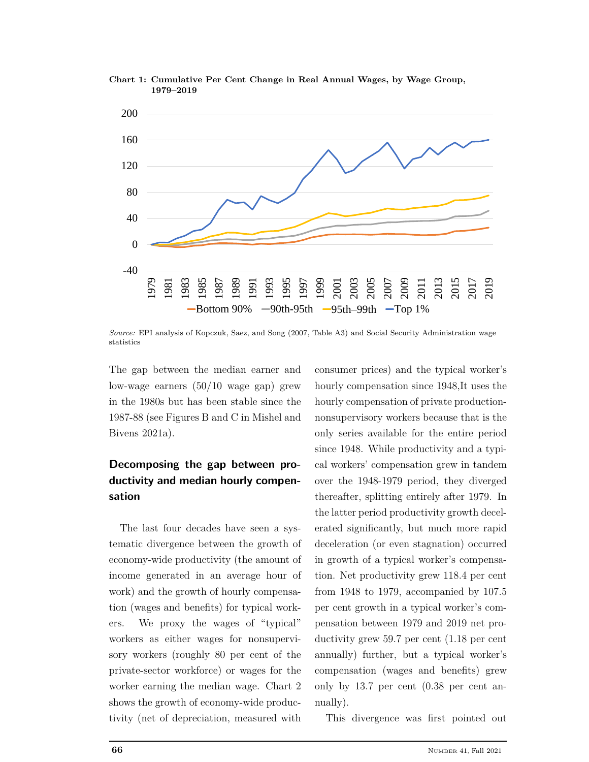



*Source:* EPI analysis of Kopczuk, Saez, and Song (2007, Table A3) and Social Security Administration wage statistics

The gap between the median earner and low-wage earners (50/10 wage gap) grew in the 1980s but has been stable since the 1987-88 (see Figures B and C in Mishel and Bivens 2021a).

# **Decomposing the gap between productivity and median hourly compensation**

The last four decades have seen a systematic divergence between the growth of economy-wide productivity (the amount of income generated in an average hour of work) and the growth of hourly compensation (wages and benefits) for typical workers. We proxy the wages of "typical" workers as either wages for nonsupervisory workers (roughly 80 per cent of the private-sector workforce) or wages for the worker earning the median wage. Chart 2 shows the growth of economy-wide productivity (net of depreciation, measured with

consumer prices) and the typical worker's hourly compensation since 1948,It uses the hourly compensation of private productionnonsupervisory workers because that is the only series available for the entire period since 1948. While productivity and a typical workers' compensation grew in tandem over the 1948-1979 period, they diverged thereafter, splitting entirely after 1979. In the latter period productivity growth decelerated significantly, but much more rapid deceleration (or even stagnation) occurred in growth of a typical worker's compensation. Net productivity grew 118.4 per cent from 1948 to 1979, accompanied by 107.5 per cent growth in a typical worker's compensation between 1979 and 2019 net productivity grew 59.7 per cent (1.18 per cent annually) further, but a typical worker's compensation (wages and benefits) grew only by 13.7 per cent (0.38 per cent annually).

This divergence was first pointed out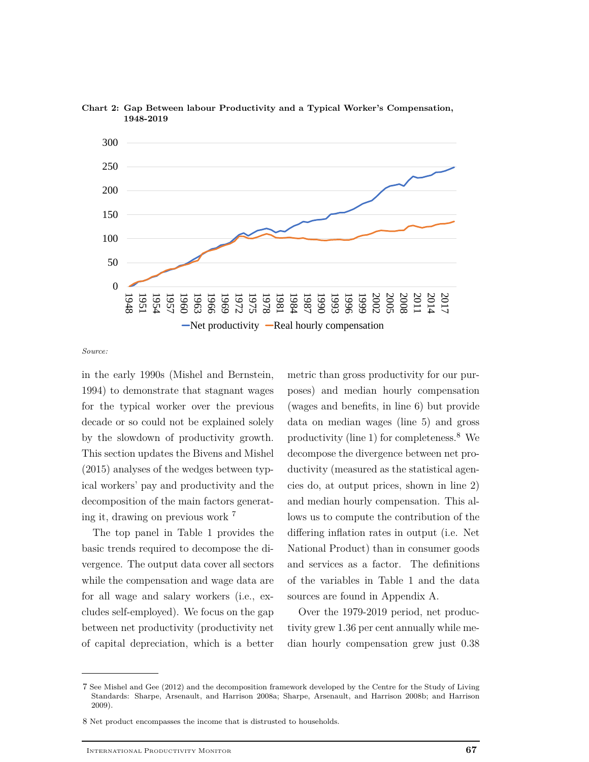



*Source:*

in the early 1990s (Mishel and Bernstein, 1994) to demonstrate that stagnant wages for the typical worker over the previous decade or so could not be explained solely by the slowdown of productivity growth. This section updates the Bivens and Mishel (2015) analyses of the wedges between typical workers' pay and productivity and the decomposition of the main factors generating it, drawing on previous work <sup>7</sup>

The top panel in Table 1 provides the basic trends required to decompose the divergence. The output data cover all sectors while the compensation and wage data are for all wage and salary workers (i.e., excludes self-employed). We focus on the gap between net productivity (productivity net of capital depreciation, which is a better

metric than gross productivity for our purposes) and median hourly compensation (wages and benefits, in line 6) but provide data on median wages (line 5) and gross productivity (line 1) for completeness.<sup>8</sup> We decompose the divergence between net productivity (measured as the statistical agencies do, at output prices, shown in line 2) and median hourly compensation. This allows us to compute the contribution of the differing inflation rates in output (i.e. Net National Product) than in consumer goods and services as a factor. The definitions of the variables in Table 1 and the data sources are found in Appendix A.

Over the 1979-2019 period, net productivity grew 1.36 per cent annually while median hourly compensation grew just 0.38

<sup>7</sup> See Mishel and Gee (2012) and the decomposition framework developed by the Centre for the Study of Living Standards: Sharpe, Arsenault, and Harrison 2008a; Sharpe, Arsenault, and Harrison 2008b; and Harrison 2009).

<sup>8</sup> Net product encompasses the income that is distrusted to households.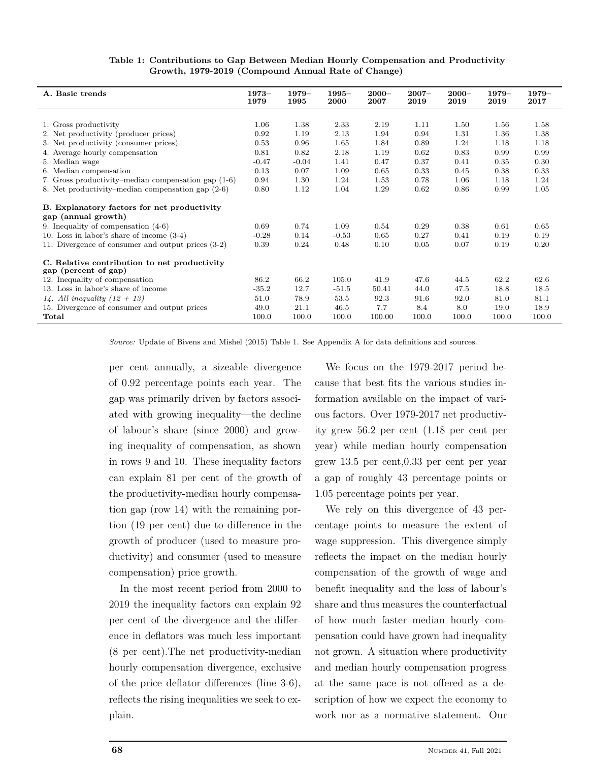| Table 1: Contributions to Gap Between Median Hourly Compensation and Productivity |
|-----------------------------------------------------------------------------------|
| Growth, 1979-2019 (Compound Annual Rate of Change)                                |

| A. Basic trends                                                      | $1973-$<br>1979 | $1979-$<br>1995 | $1995 -$<br><b>2000</b> | $2000 -$<br>2007 | $2007 -$<br>2019 | $2000 -$<br>2019 | $1979-$<br>2019 | $1979-$<br>2017 |
|----------------------------------------------------------------------|-----------------|-----------------|-------------------------|------------------|------------------|------------------|-----------------|-----------------|
|                                                                      |                 |                 |                         |                  |                  |                  |                 |                 |
| 1. Gross productivity                                                | 1.06            | 1.38            | 2.33                    | 2.19             | 1.11             | 1.50             | 1.56            | 1.58            |
| 2. Net productivity (producer prices)                                | 0.92            | 1.19            | 2.13                    | 1.94             | 0.94             | 1.31             | 1.36            | 1.38            |
| 3. Net productivity (consumer prices)                                | 0.53            | 0.96            | 1.65                    | 1.84             | 0.89             | 1.24             | 1.18            | 1.18            |
| 4. Average hourly compensation                                       | 0.81            | 0.82            | 2.18                    | 1.19             | 0.62             | 0.83             | 0.99            | 0.99            |
| 5. Median wage                                                       | $-0.47$         | $-0.04$         | 1.41                    | 0.47             | 0.37             | 0.41             | 0.35            | 0.30            |
| 6. Median compensation                                               | 0.13            | 0.07            | 1.09                    | 0.65             | 0.33             | 0.45             | 0.38            | 0.33            |
| 7. Gross productivity–median compensation gap (1-6)                  | 0.94            | 1.30            | 1.24                    | 1.53             | 0.78             | 1.06             | 1.18            | 1.24            |
| 8. Net productivity–median compensation gap (2-6)                    | 0.80            | 1.12            | 1.04                    | 1.29             | 0.62             | 0.86             | 0.99            | 1.05            |
| B. Explanatory factors for net productivity<br>gap (annual growth)   |                 |                 |                         |                  |                  |                  |                 |                 |
| 9. Inequality of compensation $(4-6)$                                | 0.69            | 0.74            | 1.09                    | 0.54             | 0.29             | 0.38             | 0.61            | 0.65            |
| 10. Loss in labor's share of income $(3-4)$                          | $-0.28$         | 0.14            | $-0.53$                 | 0.65             | 0.27             | 0.41             | 0.19            | 0.19            |
| 11. Divergence of consumer and output prices (3-2)                   | 0.39            | 0.24            | 0.48                    | 0.10             | 0.05             | 0.07             | 0.19            | 0.20            |
| C. Relative contribution to net productivity<br>gap (percent of gap) |                 |                 |                         |                  |                  |                  |                 |                 |
| 12. Inequality of compensation                                       | 86.2            | 66.2            | 105.0                   | 41.9             | 47.6             | 44.5             | 62.2            | 62.6            |
| 13. Loss in labor's share of income                                  | $-35.2$         | 12.7            | $-51.5$                 | 50.41            | 44.0             | 47.5             | 18.8            | 18.5            |
| 14. All inequality $(12 + 13)$                                       | 51.0            | 78.9            | 53.5                    | 92.3             | 91.6             | 92.0             | 81.0            | 81.1            |
| 15. Divergence of consumer and output prices                         | 49.0            | 21.1            | 46.5                    | 7.7              | 8.4              | 8.0              | 19.0            | 18.9            |
| Total                                                                | 100.0           | 100.0           | 100.0                   | 100.00           | 100.0            | 100.0            | 100.0           | 100.0           |

*Source:* Update of Bivens and Mishel (2015) Table 1. See Appendix A for data definitions and sources.

per cent annually, a sizeable divergence of 0.92 percentage points each year. The gap was primarily driven by factors associated with growing inequality—the decline of labour's share (since 2000) and growing inequality of compensation, as shown in rows 9 and 10. These inequality factors can explain 81 per cent of the growth of the productivity-median hourly compensation gap (row 14) with the remaining portion (19 per cent) due to difference in the growth of producer (used to measure productivity) and consumer (used to measure compensation) price growth.

In the most recent period from 2000 to 2019 the inequality factors can explain 92 per cent of the divergence and the difference in deflators was much less important (8 per cent).The net productivity-median hourly compensation divergence, exclusive of the price deflator differences (line 3-6), reflects the rising inequalities we seek to explain.

We focus on the 1979-2017 period because that best fits the various studies information available on the impact of various factors. Over 1979-2017 net productivity grew 56.2 per cent (1.18 per cent per year) while median hourly compensation grew 13.5 per cent,0.33 per cent per year a gap of roughly 43 percentage points or 1.05 percentage points per year.

We rely on this divergence of 43 percentage points to measure the extent of wage suppression. This divergence simply reflects the impact on the median hourly compensation of the growth of wage and benefit inequality and the loss of labour's share and thus measures the counterfactual of how much faster median hourly compensation could have grown had inequality not grown. A situation where productivity and median hourly compensation progress at the same pace is not offered as a description of how we expect the economy to work nor as a normative statement. Our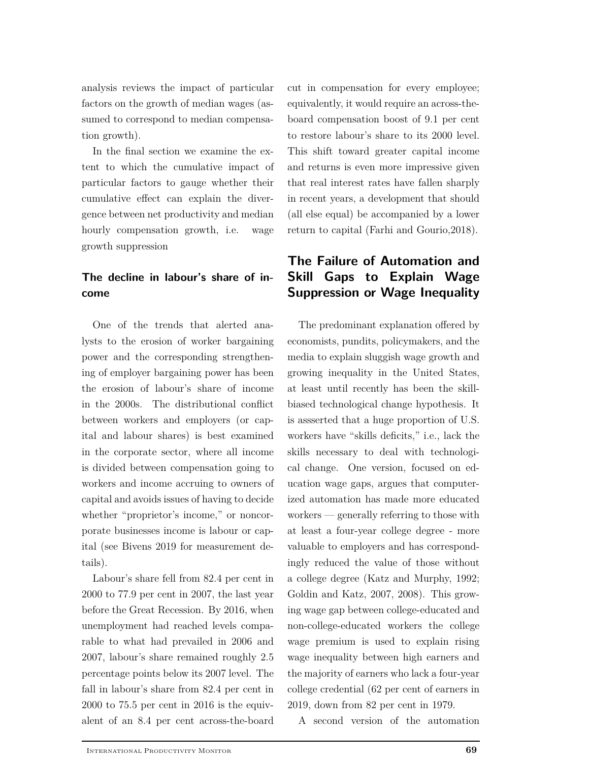analysis reviews the impact of particular factors on the growth of median wages (assumed to correspond to median compensation growth).

In the final section we examine the extent to which the cumulative impact of particular factors to gauge whether their cumulative effect can explain the divergence between net productivity and median hourly compensation growth, i.e. wage growth suppression

# **The decline in labour's share of income**

One of the trends that alerted analysts to the erosion of worker bargaining power and the corresponding strengthening of employer bargaining power has been the erosion of labour's share of income in the 2000s. The distributional conflict between workers and employers (or capital and labour shares) is best examined in the corporate sector, where all income is divided between compensation going to workers and income accruing to owners of capital and avoids issues of having to decide whether "proprietor's income," or noncorporate businesses income is labour or capital (see Bivens 2019 for measurement details).

Labour's share fell from 82.4 per cent in 2000 to 77.9 per cent in 2007, the last year before the Great Recession. By 2016, when unemployment had reached levels comparable to what had prevailed in 2006 and 2007, labour's share remained roughly 2.5 percentage points below its 2007 level. The fall in labour's share from 82.4 per cent in 2000 to 75.5 per cent in 2016 is the equivalent of an 8.4 per cent across-the-board cut in compensation for every employee; equivalently, it would require an across-theboard compensation boost of 9.1 per cent to restore labour's share to its 2000 level. This shift toward greater capital income and returns is even more impressive given that real interest rates have fallen sharply in recent years, a development that should (all else equal) be accompanied by a lower return to capital (Farhi and Gourio,2018).

# **The Failure of Automation and Skill Gaps to Explain Wage Suppression or Wage Inequality**

The predominant explanation offered by economists, pundits, policymakers, and the media to explain sluggish wage growth and growing inequality in the United States, at least until recently has been the skillbiased technological change hypothesis. It is assserted that a huge proportion of U.S. workers have "skills deficits," i.e., lack the skills necessary to deal with technological change. One version, focused on education wage gaps, argues that computerized automation has made more educated workers — generally referring to those with at least a four-year college degree - more valuable to employers and has correspondingly reduced the value of those without a college degree (Katz and Murphy, 1992; Goldin and Katz, 2007, 2008). This growing wage gap between college-educated and non-college-educated workers the college wage premium is used to explain rising wage inequality between high earners and the majority of earners who lack a four-year college credential (62 per cent of earners in 2019, down from 82 per cent in 1979.

A second version of the automation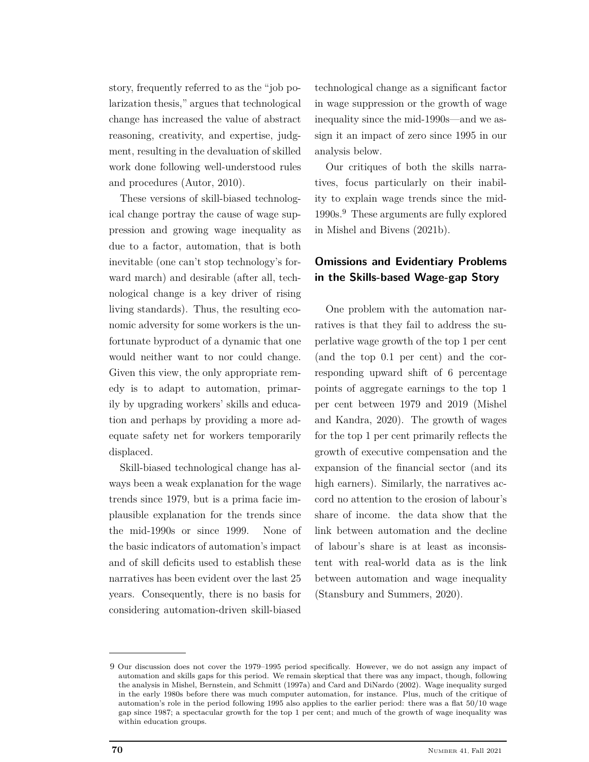story, frequently referred to as the "job polarization thesis," argues that technological change has increased the value of abstract reasoning, creativity, and expertise, judgment, resulting in the devaluation of skilled work done following well-understood rules and procedures (Autor, 2010).

These versions of skill-biased technological change portray the cause of wage suppression and growing wage inequality as due to a factor, automation, that is both inevitable (one can't stop technology's forward march) and desirable (after all, technological change is a key driver of rising living standards). Thus, the resulting economic adversity for some workers is the unfortunate byproduct of a dynamic that one would neither want to nor could change. Given this view, the only appropriate remedy is to adapt to automation, primarily by upgrading workers' skills and education and perhaps by providing a more adequate safety net for workers temporarily displaced.

Skill-biased technological change has always been a weak explanation for the wage trends since 1979, but is a prima facie implausible explanation for the trends since the mid-1990s or since 1999. None of the basic indicators of automation's impact and of skill deficits used to establish these narratives has been evident over the last 25 years. Consequently, there is no basis for considering automation-driven skill-biased

technological change as a significant factor in wage suppression or the growth of wage inequality since the mid-1990s—and we assign it an impact of zero since 1995 in our analysis below.

Our critiques of both the skills narratives, focus particularly on their inability to explain wage trends since the mid-1990s.<sup>9</sup> These arguments are fully explored in Mishel and Bivens (2021b).

## **Omissions and Evidentiary Problems in the Skills-based Wage-gap Story**

One problem with the automation narratives is that they fail to address the superlative wage growth of the top 1 per cent (and the top 0.1 per cent) and the corresponding upward shift of 6 percentage points of aggregate earnings to the top 1 per cent between 1979 and 2019 (Mishel and Kandra, 2020). The growth of wages for the top 1 per cent primarily reflects the growth of executive compensation and the expansion of the financial sector (and its high earners). Similarly, the narratives accord no attention to the erosion of labour's share of income. the data show that the link between automation and the decline of labour's share is at least as inconsistent with real-world data as is the link between automation and wage inequality (Stansbury and Summers, 2020).

<sup>9</sup> Our discussion does not cover the 1979–1995 period specifically. However, we do not assign any impact of automation and skills gaps for this period. We remain skeptical that there was any impact, though, following the analysis in Mishel, Bernstein, and Schmitt (1997a) and Card and DiNardo (2002). Wage inequality surged in the early 1980s before there was much computer automation, for instance. Plus, much of the critique of automation's role in the period following 1995 also applies to the earlier period: there was a flat 50/10 wage gap since 1987; a spectacular growth for the top 1 per cent; and much of the growth of wage inequality was within education groups.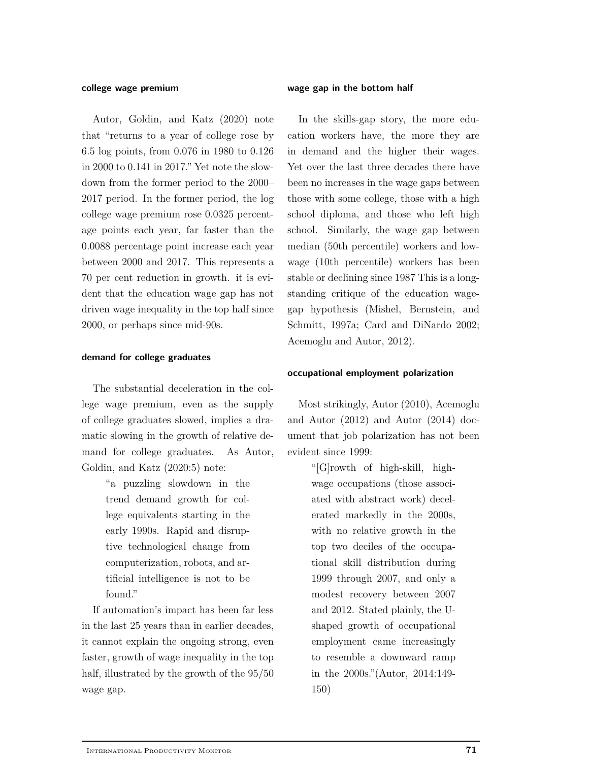#### **college wage premium**

Autor, Goldin, and Katz (2020) note that "returns to a year of college rose by 6.5 log points, from 0.076 in 1980 to 0.126 in 2000 to 0.141 in 2017." Yet note the slowdown from the former period to the 2000– 2017 period. In the former period, the log college wage premium rose 0.0325 percentage points each year, far faster than the 0.0088 percentage point increase each year between 2000 and 2017. This represents a 70 per cent reduction in growth. it is evident that the education wage gap has not driven wage inequality in the top half since 2000, or perhaps since mid-90s.

#### **demand for college graduates**

The substantial deceleration in the college wage premium, even as the supply of college graduates slowed, implies a dramatic slowing in the growth of relative demand for college graduates. As Autor, Goldin, and Katz (2020:5) note:

> "a puzzling slowdown in the trend demand growth for college equivalents starting in the early 1990s. Rapid and disruptive technological change from computerization, robots, and artificial intelligence is not to be found."

If automation's impact has been far less in the last 25 years than in earlier decades, it cannot explain the ongoing strong, even faster, growth of wage inequality in the top half, illustrated by the growth of the 95/50 wage gap.

#### **wage gap in the bottom half**

In the skills-gap story, the more education workers have, the more they are in demand and the higher their wages. Yet over the last three decades there have been no increases in the wage gaps between those with some college, those with a high school diploma, and those who left high school. Similarly, the wage gap between median (50th percentile) workers and lowwage (10th percentile) workers has been stable or declining since 1987 This is a longstanding critique of the education wagegap hypothesis (Mishel, Bernstein, and Schmitt, 1997a; Card and DiNardo 2002; Acemoglu and Autor, 2012).

## **occupational employment polarization**

Most strikingly, Autor (2010), Acemoglu and Autor (2012) and Autor (2014) document that job polarization has not been evident since 1999:

> "[G]rowth of high-skill, highwage occupations (those associated with abstract work) decelerated markedly in the 2000s, with no relative growth in the top two deciles of the occupational skill distribution during 1999 through 2007, and only a modest recovery between 2007 and 2012. Stated plainly, the Ushaped growth of occupational employment came increasingly to resemble a downward ramp in the 2000s."(Autor, 2014:149- 150)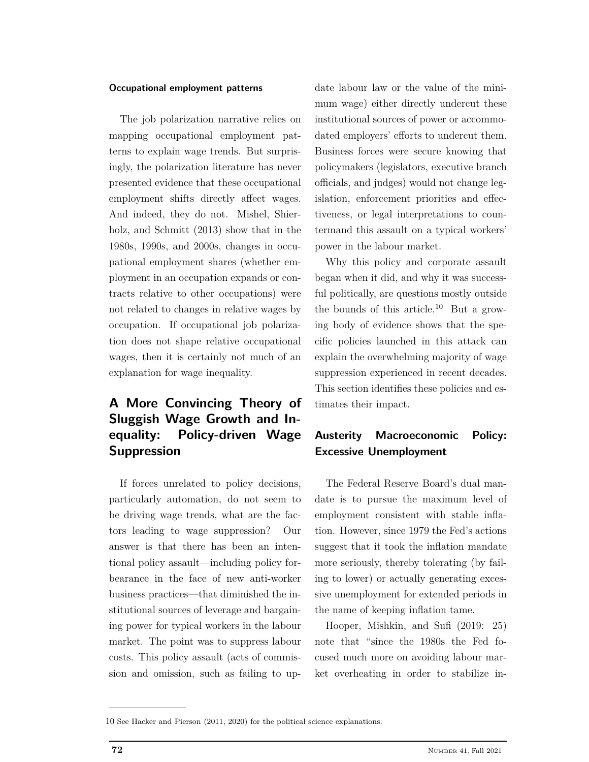## **Occupational employment patterns**

The job polarization narrative relies on mapping occupational employment patterns to explain wage trends. But surprisingly, the polarization literature has never presented evidence that these occupational employment shifts directly affect wages. And indeed, they do not. Mishel, Shierholz, and Schmitt (2013) show that in the 1980s, 1990s, and 2000s, changes in occupational employment shares (whether employment in an occupation expands or contracts relative to other occupations) were not related to changes in relative wages by occupation. If occupational job polarization does not shape relative occupational wages, then it is certainly not much of an explanation for wage inequality.

# **A More Convincing Theory of Sluggish Wage Growth and Inequality: Policy-driven Wage Suppression**

If forces unrelated to policy decisions, particularly automation, do not seem to be driving wage trends, what are the factors leading to wage suppression? Our answer is that there has been an intentional policy assault—including policy forbearance in the face of new anti-worker business practices—that diminished the institutional sources of leverage and bargaining power for typical workers in the labour market. The point was to suppress labour costs. This policy assault (acts of commission and omission, such as failing to up-

date labour law or the value of the minimum wage) either directly undercut these institutional sources of power or accommodated employers' efforts to undercut them. Business forces were secure knowing that policymakers (legislators, executive branch officials, and judges) would not change legislation, enforcement priorities and effectiveness, or legal interpretations to countermand this assault on a typical workers' power in the labour market.

Why this policy and corporate assault began when it did, and why it was successful politically, are questions mostly outside the bounds of this article.<sup>10</sup> But a growing body of evidence shows that the specific policies launched in this attack can explain the overwhelming majority of wage suppression experienced in recent decades. This section identifies these policies and estimates their impact.

# **Austerity Macroeconomic Policy: Excessive Unemployment**

The Federal Reserve Board's dual mandate is to pursue the maximum level of employment consistent with stable inflation. However, since 1979 the Fed's actions suggest that it took the inflation mandate more seriously, thereby tolerating (by failing to lower) or actually generating excessive unemployment for extended periods in the name of keeping inflation tame.

Hooper, Mishkin, and Sufi (2019: 25) note that "since the 1980s the Fed focused much more on avoiding labour market overheating in order to stabilize in-

<sup>10</sup> See Hacker and Pierson (2011, 2020) for the political science explanations.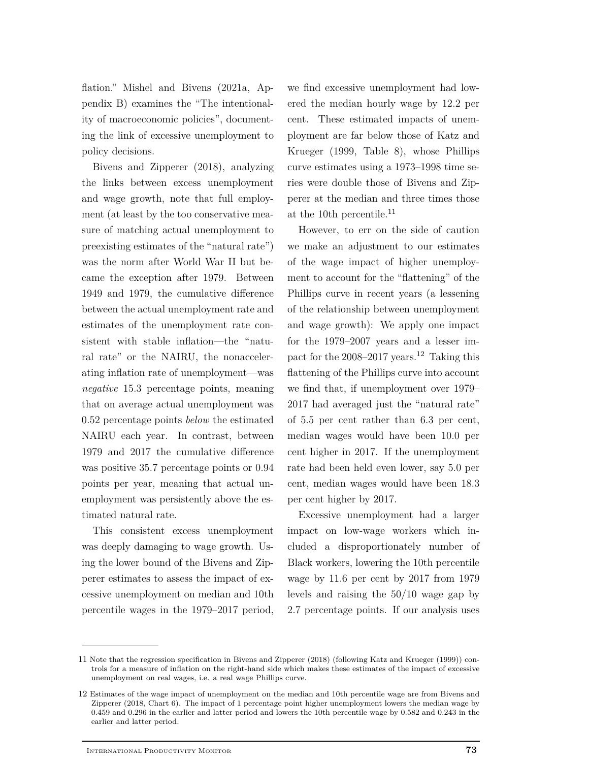flation." Mishel and Bivens (2021a, Appendix B) examines the "The intentionality of macroeconomic policies", documenting the link of excessive unemployment to policy decisions.

Bivens and Zipperer (2018), analyzing the links between excess unemployment and wage growth, note that full employment (at least by the too conservative measure of matching actual unemployment to preexisting estimates of the "natural rate") was the norm after World War II but became the exception after 1979. Between 1949 and 1979, the cumulative difference between the actual unemployment rate and estimates of the unemployment rate consistent with stable inflation—the "natural rate" or the NAIRU, the nonaccelerating inflation rate of unemployment—was *negative* 15.3 percentage points, meaning that on average actual unemployment was 0.52 percentage points *below* the estimated NAIRU each year. In contrast, between 1979 and 2017 the cumulative difference was positive 35.7 percentage points or 0.94 points per year, meaning that actual unemployment was persistently above the estimated natural rate.

This consistent excess unemployment was deeply damaging to wage growth. Using the lower bound of the Bivens and Zipperer estimates to assess the impact of excessive unemployment on median and 10th percentile wages in the 1979–2017 period,

we find excessive unemployment had lowered the median hourly wage by 12.2 per cent. These estimated impacts of unemployment are far below those of Katz and Krueger (1999, Table 8), whose Phillips curve estimates using a 1973–1998 time series were double those of Bivens and Zipperer at the median and three times those at the 10th percentile.<sup>11</sup>

However, to err on the side of caution we make an adjustment to our estimates of the wage impact of higher unemployment to account for the "flattening" of the Phillips curve in recent years (a lessening of the relationship between unemployment and wage growth): We apply one impact for the 1979–2007 years and a lesser impact for the 2008–2017 years.<sup>12</sup> Taking this flattening of the Phillips curve into account we find that, if unemployment over 1979– 2017 had averaged just the "natural rate" of 5.5 per cent rather than 6.3 per cent, median wages would have been 10.0 per cent higher in 2017. If the unemployment rate had been held even lower, say 5.0 per cent, median wages would have been 18.3 per cent higher by 2017.

Excessive unemployment had a larger impact on low-wage workers which included a disproportionately number of Black workers, lowering the 10th percentile wage by 11.6 per cent by 2017 from 1979 levels and raising the 50/10 wage gap by 2.7 percentage points. If our analysis uses

<sup>11</sup> Note that the regression specification in Bivens and Zipperer (2018) (following Katz and Krueger (1999)) controls for a measure of inflation on the right-hand side which makes these estimates of the impact of excessive unemployment on real wages, i.e. a real wage Phillips curve.

<sup>12</sup> Estimates of the wage impact of unemployment on the median and 10th percentile wage are from Bivens and Zipperer (2018, Chart 6). The impact of 1 percentage point higher unemployment lowers the median wage by 0.459 and 0.296 in the earlier and latter period and lowers the 10th percentile wage by 0.582 and 0.243 in the earlier and latter period.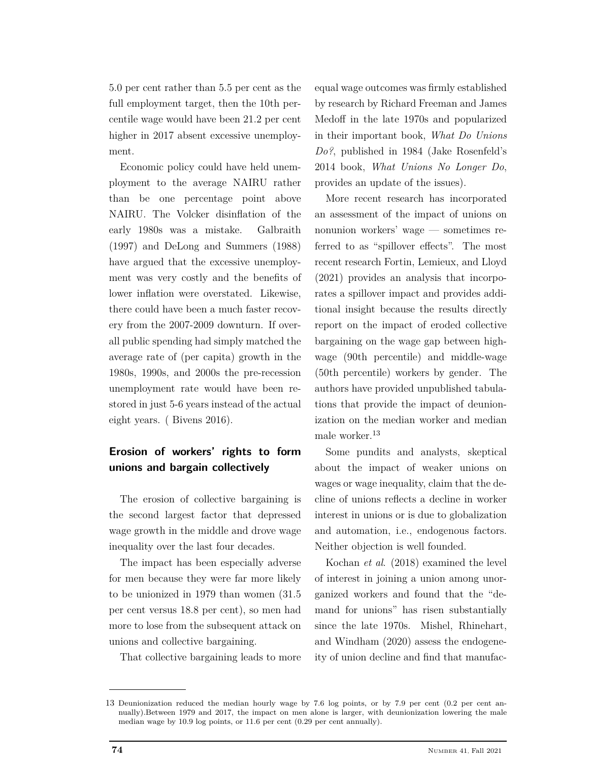5.0 per cent rather than 5.5 per cent as the full employment target, then the 10th percentile wage would have been 21.2 per cent higher in 2017 absent excessive unemployment.

Economic policy could have held unemployment to the average NAIRU rather than be one percentage point above NAIRU. The Volcker disinflation of the early 1980s was a mistake. Galbraith (1997) and DeLong and Summers (1988) have argued that the excessive unemployment was very costly and the benefits of lower inflation were overstated. Likewise, there could have been a much faster recovery from the 2007-2009 downturn. If overall public spending had simply matched the average rate of (per capita) growth in the 1980s, 1990s, and 2000s the pre-recession unemployment rate would have been restored in just 5-6 years instead of the actual eight years. ( Bivens 2016).

# **Erosion of workers' rights to form unions and bargain collectively**

The erosion of collective bargaining is the second largest factor that depressed wage growth in the middle and drove wage inequality over the last four decades.

The impact has been especially adverse for men because they were far more likely to be unionized in 1979 than women (31.5 per cent versus 18.8 per cent), so men had more to lose from the subsequent attack on unions and collective bargaining.

That collective bargaining leads to more

equal wage outcomes was firmly established by research by Richard Freeman and James Medoff in the late 1970s and popularized in their important book, *What Do Unions Do?*, published in 1984 (Jake Rosenfeld's 2014 book, *What Unions No Longer Do*, provides an update of the issues).

More recent research has incorporated an assessment of the impact of unions on nonunion workers' wage — sometimes referred to as "spillover effects". The most recent research Fortin, Lemieux, and Lloyd (2021) provides an analysis that incorporates a spillover impact and provides additional insight because the results directly report on the impact of eroded collective bargaining on the wage gap between highwage (90th percentile) and middle-wage (50th percentile) workers by gender. The authors have provided unpublished tabulations that provide the impact of deunionization on the median worker and median male worker.<sup>13</sup>

Some pundits and analysts, skeptical about the impact of weaker unions on wages or wage inequality, claim that the decline of unions reflects a decline in worker interest in unions or is due to globalization and automation, i.e., endogenous factors. Neither objection is well founded.

Kochan *et al*. (2018) examined the level of interest in joining a union among unorganized workers and found that the "demand for unions" has risen substantially since the late 1970s. Mishel, Rhinehart, and Windham (2020) assess the endogeneity of union decline and find that manufac-

<sup>13</sup> Deunionization reduced the median hourly wage by 7.6 log points, or by 7.9 per cent (0.2 per cent annually).Between 1979 and 2017, the impact on men alone is larger, with deunionization lowering the male median wage by 10.9 log points, or 11.6 per cent (0.29 per cent annually).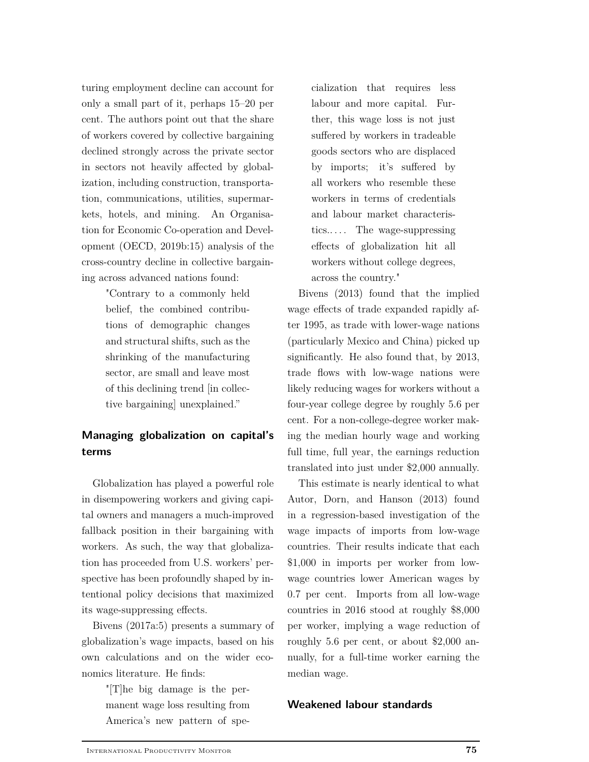turing employment decline can account for only a small part of it, perhaps 15–20 per cent. The authors point out that the share of workers covered by collective bargaining declined strongly across the private sector in sectors not heavily affected by globalization, including construction, transportation, communications, utilities, supermarkets, hotels, and mining. An Organisation for Economic Co-operation and Development (OECD, 2019b:15) analysis of the cross-country decline in collective bargaining across advanced nations found:

> "Contrary to a commonly held belief, the combined contributions of demographic changes and structural shifts, such as the shrinking of the manufacturing sector, are small and leave most of this declining trend [in collective bargaining] unexplained."

# **Managing globalization on capital's terms**

Globalization has played a powerful role in disempowering workers and giving capital owners and managers a much-improved fallback position in their bargaining with workers. As such, the way that globalization has proceeded from U.S. workers' perspective has been profoundly shaped by intentional policy decisions that maximized its wage-suppressing effects.

Bivens (2017a:5) presents a summary of globalization's wage impacts, based on his own calculations and on the wider economics literature. He finds:

> "[T]he big damage is the permanent wage loss resulting from America's new pattern of spe

cialization that requires less labour and more capital. Further, this wage loss is not just suffered by workers in tradeable goods sectors who are displaced by imports; it's suffered by all workers who resemble these workers in terms of credentials and labour market characteristics.. . . . The wage-suppressing effects of globalization hit all workers without college degrees, across the country."

Bivens (2013) found that the implied wage effects of trade expanded rapidly after 1995, as trade with lower-wage nations (particularly Mexico and China) picked up significantly. He also found that, by 2013, trade flows with low-wage nations were likely reducing wages for workers without a four-year college degree by roughly 5.6 per cent. For a non-college-degree worker making the median hourly wage and working full time, full year, the earnings reduction translated into just under \$2,000 annually.

This estimate is nearly identical to what Autor, Dorn, and Hanson (2013) found in a regression-based investigation of the wage impacts of imports from low-wage countries. Their results indicate that each \$1,000 in imports per worker from lowwage countries lower American wages by 0.7 per cent. Imports from all low-wage countries in 2016 stood at roughly \$8,000 per worker, implying a wage reduction of roughly 5.6 per cent, or about \$2,000 annually, for a full-time worker earning the median wage.

## **Weakened labour standards**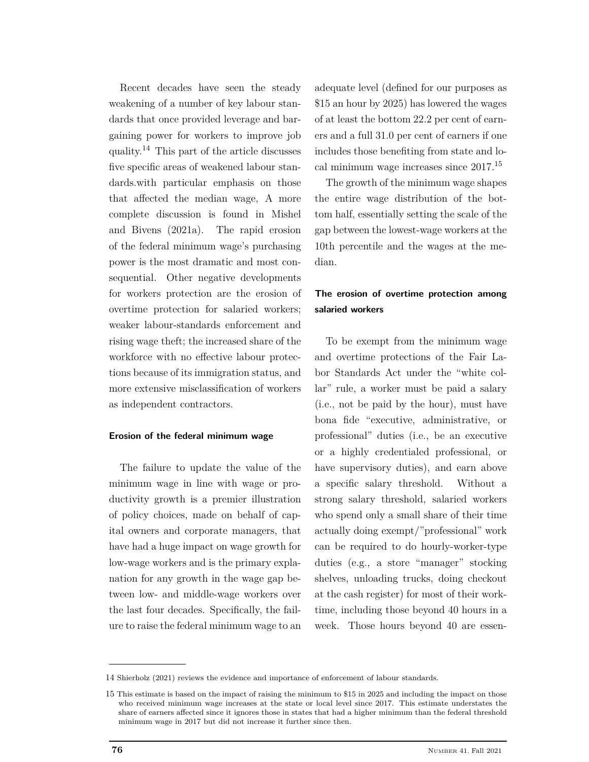Recent decades have seen the steady weakening of a number of key labour standards that once provided leverage and bargaining power for workers to improve job quality.<sup>14</sup> This part of the article discusses five specific areas of weakened labour standards.with particular emphasis on those that affected the median wage, A more complete discussion is found in Mishel and Bivens (2021a). The rapid erosion of the federal minimum wage's purchasing power is the most dramatic and most consequential. Other negative developments for workers protection are the erosion of overtime protection for salaried workers; weaker labour-standards enforcement and rising wage theft; the increased share of the workforce with no effective labour protections because of its immigration status, and more extensive misclassification of workers as independent contractors.

## **Erosion of the federal minimum wage**

The failure to update the value of the minimum wage in line with wage or productivity growth is a premier illustration of policy choices, made on behalf of capital owners and corporate managers, that have had a huge impact on wage growth for low-wage workers and is the primary explanation for any growth in the wage gap between low- and middle-wage workers over the last four decades. Specifically, the failure to raise the federal minimum wage to an adequate level (defined for our purposes as \$15 an hour by 2025) has lowered the wages of at least the bottom 22.2 per cent of earners and a full 31.0 per cent of earners if one includes those benefiting from state and local minimum wage increases since 2017.<sup>15</sup>

The growth of the minimum wage shapes the entire wage distribution of the bottom half, essentially setting the scale of the gap between the lowest-wage workers at the 10th percentile and the wages at the median.

## **The erosion of overtime protection among salaried workers**

To be exempt from the minimum wage and overtime protections of the Fair Labor Standards Act under the "white collar" rule, a worker must be paid a salary (i.e., not be paid by the hour), must have bona fide "executive, administrative, or professional" duties (i.e., be an executive or a highly credentialed professional, or have supervisory duties), and earn above a specific salary threshold. Without a strong salary threshold, salaried workers who spend only a small share of their time actually doing exempt/"professional" work can be required to do hourly-worker-type duties (e.g., a store "manager" stocking shelves, unloading trucks, doing checkout at the cash register) for most of their worktime, including those beyond 40 hours in a week. Those hours beyond 40 are essen-

<sup>14</sup> Shierholz (2021) reviews the evidence and importance of enforcement of labour standards.

<sup>15</sup> This estimate is based on the impact of raising the minimum to \$15 in 2025 and including the impact on those who received minimum wage increases at the state or local level since 2017. This estimate understates the share of earners affected since it ignores those in states that had a higher minimum than the federal threshold minimum wage in 2017 but did not increase it further since then.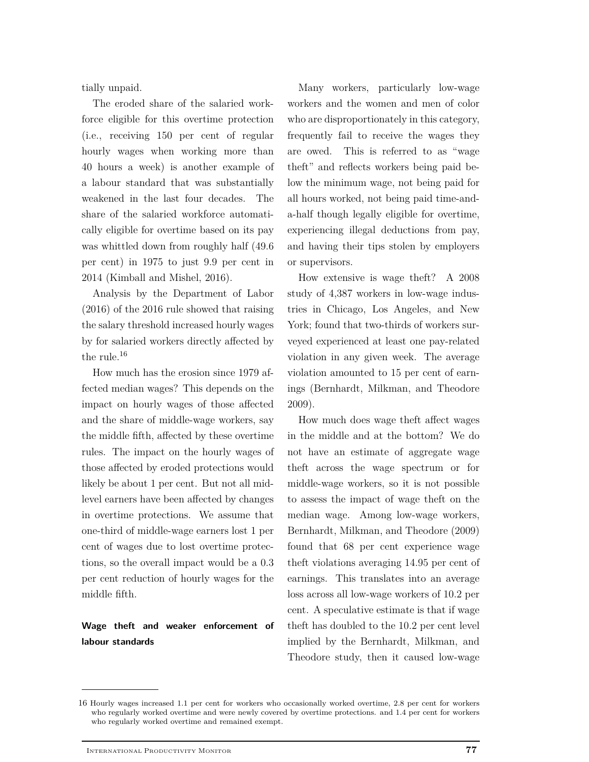tially unpaid.

The eroded share of the salaried workforce eligible for this overtime protection (i.e., receiving 150 per cent of regular hourly wages when working more than 40 hours a week) is another example of a labour standard that was substantially weakened in the last four decades. The share of the salaried workforce automatically eligible for overtime based on its pay was whittled down from roughly half (49.6 per cent) in 1975 to just 9.9 per cent in 2014 (Kimball and Mishel, 2016).

Analysis by the Department of Labor (2016) of the 2016 rule showed that raising the salary threshold increased hourly wages by for salaried workers directly affected by the rule.<sup>16</sup>

How much has the erosion since 1979 affected median wages? This depends on the impact on hourly wages of those affected and the share of middle-wage workers, say the middle fifth, affected by these overtime rules. The impact on the hourly wages of those affected by eroded protections would likely be about 1 per cent. But not all midlevel earners have been affected by changes in overtime protections. We assume that one-third of middle-wage earners lost 1 per cent of wages due to lost overtime protections, so the overall impact would be a 0.3 per cent reduction of hourly wages for the middle fifth.

## **Wage theft and weaker enforcement of labour standards**

Many workers, particularly low-wage workers and the women and men of color who are disproportionately in this category, frequently fail to receive the wages they are owed. This is referred to as "wage theft" and reflects workers being paid below the minimum wage, not being paid for all hours worked, not being paid time-anda-half though legally eligible for overtime, experiencing illegal deductions from pay, and having their tips stolen by employers or supervisors.

How extensive is wage theft? A 2008 study of 4,387 workers in low-wage industries in Chicago, Los Angeles, and New York; found that two-thirds of workers surveyed experienced at least one pay-related violation in any given week. The average violation amounted to 15 per cent of earnings (Bernhardt, Milkman, and Theodore 2009).

How much does wage theft affect wages in the middle and at the bottom? We do not have an estimate of aggregate wage theft across the wage spectrum or for middle-wage workers, so it is not possible to assess the impact of wage theft on the median wage. Among low-wage workers, Bernhardt, Milkman, and Theodore (2009) found that 68 per cent experience wage theft violations averaging 14.95 per cent of earnings. This translates into an average loss across all low-wage workers of 10.2 per cent. A speculative estimate is that if wage theft has doubled to the 10.2 per cent level implied by the Bernhardt, Milkman, and Theodore study, then it caused low-wage

<sup>16</sup> Hourly wages increased 1.1 per cent for workers who occasionally worked overtime, 2.8 per cent for workers who regularly worked overtime and were newly covered by overtime protections. and 1.4 per cent for workers who regularly worked overtime and remained exempt.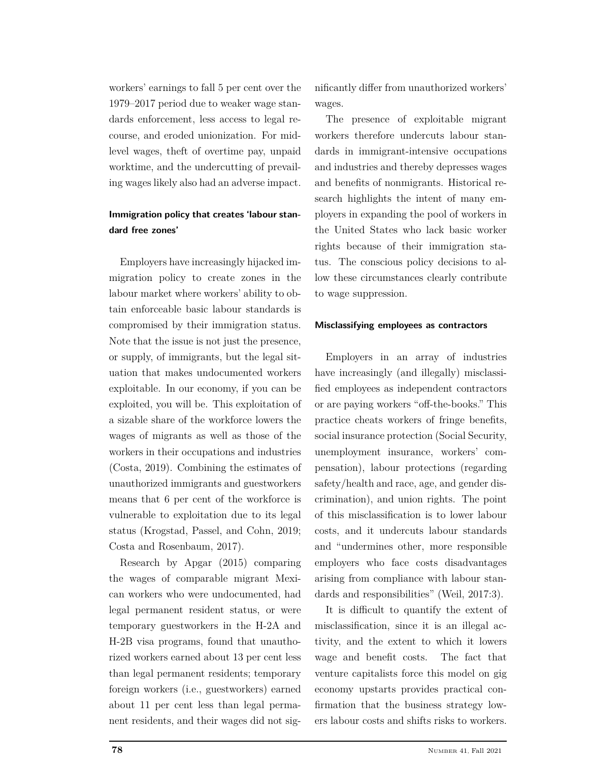workers' earnings to fall 5 per cent over the 1979–2017 period due to weaker wage standards enforcement, less access to legal recourse, and eroded unionization. For midlevel wages, theft of overtime pay, unpaid worktime, and the undercutting of prevailing wages likely also had an adverse impact.

## **Immigration policy that creates 'labour standard free zones'**

Employers have increasingly hijacked immigration policy to create zones in the labour market where workers' ability to obtain enforceable basic labour standards is compromised by their immigration status. Note that the issue is not just the presence, or supply, of immigrants, but the legal situation that makes undocumented workers exploitable. In our economy, if you can be exploited, you will be. This exploitation of a sizable share of the workforce lowers the wages of migrants as well as those of the workers in their occupations and industries (Costa, 2019). Combining the estimates of unauthorized immigrants and guestworkers means that 6 per cent of the workforce is vulnerable to exploitation due to its legal status (Krogstad, Passel, and Cohn, 2019; Costa and Rosenbaum, 2017).

Research by Apgar (2015) comparing the wages of comparable migrant Mexican workers who were undocumented, had legal permanent resident status, or were temporary guestworkers in the H-2A and H-2B visa programs, found that unauthorized workers earned about 13 per cent less than legal permanent residents; temporary foreign workers (i.e., guestworkers) earned about 11 per cent less than legal permanent residents, and their wages did not significantly differ from unauthorized workers' wages.

The presence of exploitable migrant workers therefore undercuts labour standards in immigrant-intensive occupations and industries and thereby depresses wages and benefits of nonmigrants. Historical research highlights the intent of many employers in expanding the pool of workers in the United States who lack basic worker rights because of their immigration status. The conscious policy decisions to allow these circumstances clearly contribute to wage suppression.

## **Misclassifying employees as contractors**

Employers in an array of industries have increasingly (and illegally) misclassified employees as independent contractors or are paying workers "off-the-books." This practice cheats workers of fringe benefits, social insurance protection (Social Security, unemployment insurance, workers' compensation), labour protections (regarding safety/health and race, age, and gender discrimination), and union rights. The point of this misclassification is to lower labour costs, and it undercuts labour standards and "undermines other, more responsible employers who face costs disadvantages arising from compliance with labour standards and responsibilities" (Weil, 2017:3).

It is difficult to quantify the extent of misclassification, since it is an illegal activity, and the extent to which it lowers wage and benefit costs. The fact that venture capitalists force this model on gig economy upstarts provides practical confirmation that the business strategy lowers labour costs and shifts risks to workers.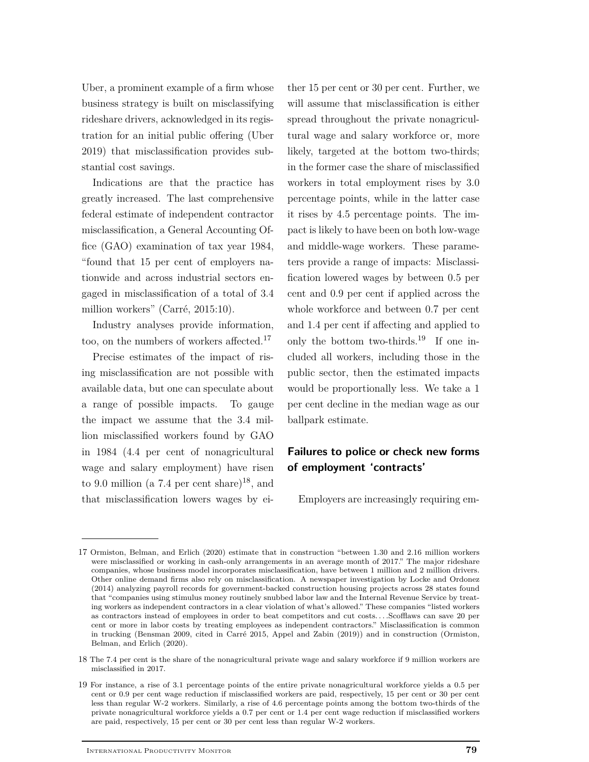Uber, a prominent example of a firm whose business strategy is built on misclassifying rideshare drivers, acknowledged in its registration for an initial public offering (Uber 2019) that misclassification provides substantial cost savings.

Indications are that the practice has greatly increased. The last comprehensive federal estimate of independent contractor misclassification, a General Accounting Office (GAO) examination of tax year 1984, "found that 15 per cent of employers nationwide and across industrial sectors engaged in misclassification of a total of 3.4 million workers" (Carré, 2015:10).

Industry analyses provide information, too, on the numbers of workers affected.<sup>17</sup>

Precise estimates of the impact of rising misclassification are not possible with available data, but one can speculate about a range of possible impacts. To gauge the impact we assume that the 3.4 million misclassified workers found by GAO in 1984 (4.4 per cent of nonagricultural wage and salary employment) have risen to 9.0 million (a 7.4 per cent share)<sup>18</sup>, and that misclassification lowers wages by ei-

ther 15 per cent or 30 per cent. Further, we will assume that misclassification is either spread throughout the private nonagricultural wage and salary workforce or, more likely, targeted at the bottom two-thirds; in the former case the share of misclassified workers in total employment rises by 3.0 percentage points, while in the latter case it rises by 4.5 percentage points. The impact is likely to have been on both low-wage and middle-wage workers. These parameters provide a range of impacts: Misclassification lowered wages by between 0.5 per cent and 0.9 per cent if applied across the whole workforce and between 0.7 per cent and 1.4 per cent if affecting and applied to only the bottom two-thirds.<sup>19</sup> If one included all workers, including those in the public sector, then the estimated impacts would be proportionally less. We take a 1 per cent decline in the median wage as our ballpark estimate.

## **Failures to police or check new forms of employment 'contracts'**

Employers are increasingly requiring em-

<sup>17</sup> Ormiston, Belman, and Erlich (2020) estimate that in construction "between 1.30 and 2.16 million workers were misclassified or working in cash-only arrangements in an average month of 2017." The major rideshare companies, whose business model incorporates misclassification, have between 1 million and 2 million drivers. Other online demand firms also rely on misclassification. A newspaper investigation by Locke and Ordonez (2014) analyzing payroll records for government-backed construction housing projects across 28 states found that "companies using stimulus money routinely snubbed labor law and the Internal Revenue Service by treating workers as independent contractors in a clear violation of what's allowed." These companies "listed workers as contractors instead of employees in order to beat competitors and cut costs. . . .Scofflaws can save 20 per cent or more in labor costs by treating employees as independent contractors." Misclassification is common in trucking (Bensman 2009, cited in Carré 2015, Appel and Zabin (2019)) and in construction (Ormiston, Belman, and Erlich (2020).

<sup>18</sup> The 7.4 per cent is the share of the nonagricultural private wage and salary workforce if 9 million workers are misclassified in 2017.

<sup>19</sup> For instance, a rise of 3.1 percentage points of the entire private nonagricultural workforce yields a 0.5 per cent or 0.9 per cent wage reduction if misclassified workers are paid, respectively, 15 per cent or 30 per cent less than regular W-2 workers. Similarly, a rise of 4.6 percentage points among the bottom two-thirds of the private nonagricultural workforce yields a 0.7 per cent or 1.4 per cent wage reduction if misclassified workers are paid, respectively, 15 per cent or 30 per cent less than regular W-2 workers.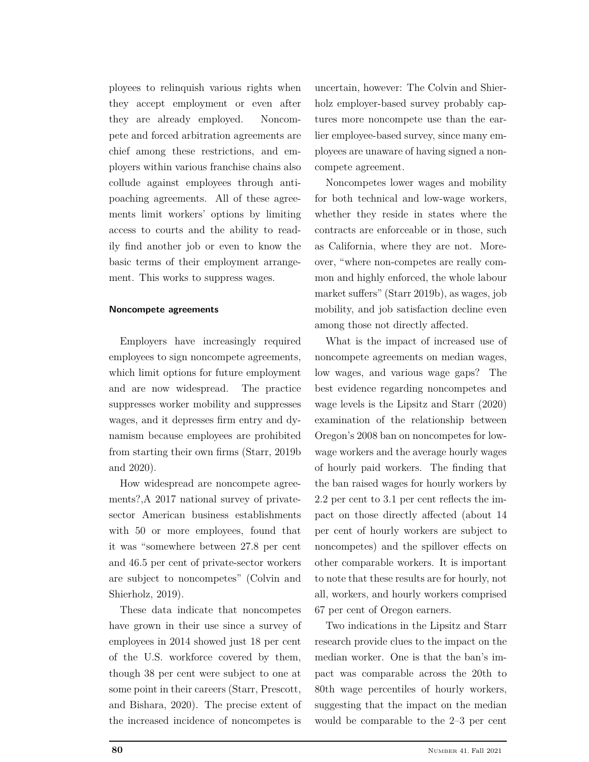ployees to relinquish various rights when they accept employment or even after they are already employed. Noncompete and forced arbitration agreements are chief among these restrictions, and employers within various franchise chains also collude against employees through antipoaching agreements. All of these agreements limit workers' options by limiting access to courts and the ability to readily find another job or even to know the basic terms of their employment arrangement. This works to suppress wages.

## **Noncompete agreements**

Employers have increasingly required employees to sign noncompete agreements, which limit options for future employment and are now widespread. The practice suppresses worker mobility and suppresses wages, and it depresses firm entry and dynamism because employees are prohibited from starting their own firms (Starr, 2019b and 2020).

How widespread are noncompete agreements?,A 2017 national survey of privatesector American business establishments with 50 or more employees, found that it was "somewhere between 27.8 per cent and 46.5 per cent of private-sector workers are subject to noncompetes" (Colvin and Shierholz, 2019).

These data indicate that noncompetes have grown in their use since a survey of employees in 2014 showed just 18 per cent of the U.S. workforce covered by them, though 38 per cent were subject to one at some point in their careers (Starr, Prescott, and Bishara, 2020). The precise extent of the increased incidence of noncompetes is

uncertain, however: The Colvin and Shierholz employer-based survey probably captures more noncompete use than the earlier employee-based survey, since many employees are unaware of having signed a noncompete agreement.

Noncompetes lower wages and mobility for both technical and low-wage workers, whether they reside in states where the contracts are enforceable or in those, such as California, where they are not. Moreover, "where non-competes are really common and highly enforced, the whole labour market suffers" (Starr 2019b), as wages, job mobility, and job satisfaction decline even among those not directly affected.

What is the impact of increased use of noncompete agreements on median wages, low wages, and various wage gaps? The best evidence regarding noncompetes and wage levels is the Lipsitz and Starr (2020) examination of the relationship between Oregon's 2008 ban on noncompetes for lowwage workers and the average hourly wages of hourly paid workers. The finding that the ban raised wages for hourly workers by 2.2 per cent to 3.1 per cent reflects the impact on those directly affected (about 14 per cent of hourly workers are subject to noncompetes) and the spillover effects on other comparable workers. It is important to note that these results are for hourly, not all, workers, and hourly workers comprised 67 per cent of Oregon earners.

Two indications in the Lipsitz and Starr research provide clues to the impact on the median worker. One is that the ban's impact was comparable across the 20th to 80th wage percentiles of hourly workers, suggesting that the impact on the median would be comparable to the 2–3 per cent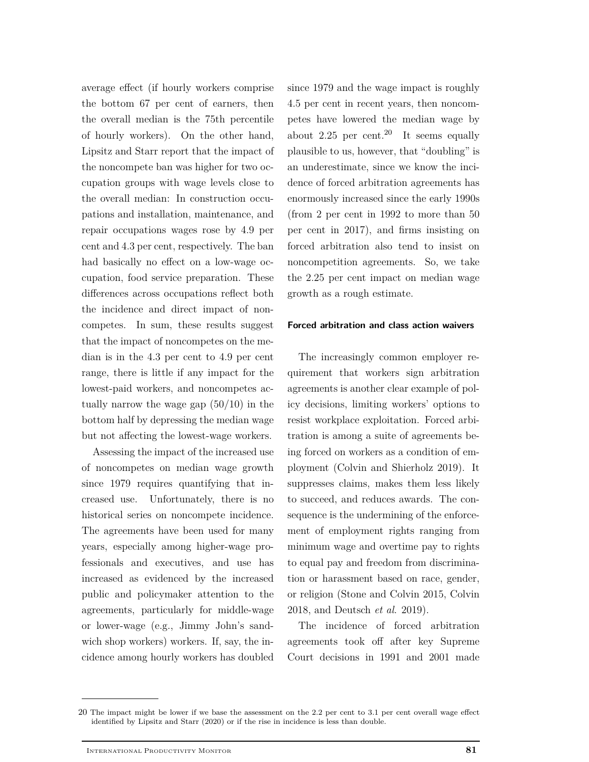average effect (if hourly workers comprise the bottom 67 per cent of earners, then the overall median is the 75th percentile of hourly workers). On the other hand, Lipsitz and Starr report that the impact of the noncompete ban was higher for two occupation groups with wage levels close to the overall median: In construction occupations and installation, maintenance, and repair occupations wages rose by 4.9 per cent and 4.3 per cent, respectively. The ban had basically no effect on a low-wage occupation, food service preparation. These differences across occupations reflect both the incidence and direct impact of noncompetes. In sum, these results suggest that the impact of noncompetes on the median is in the 4.3 per cent to 4.9 per cent range, there is little if any impact for the lowest-paid workers, and noncompetes actually narrow the wage gap (50/10) in the bottom half by depressing the median wage but not affecting the lowest-wage workers.

Assessing the impact of the increased use of noncompetes on median wage growth since 1979 requires quantifying that increased use. Unfortunately, there is no historical series on noncompete incidence. The agreements have been used for many years, especially among higher-wage professionals and executives, and use has increased as evidenced by the increased public and policymaker attention to the agreements, particularly for middle-wage or lower-wage (e.g., Jimmy John's sandwich shop workers) workers. If, say, the incidence among hourly workers has doubled since 1979 and the wage impact is roughly 4.5 per cent in recent years, then noncompetes have lowered the median wage by about 2.25 per cent.<sup>20</sup> It seems equally plausible to us, however, that "doubling" is an underestimate, since we know the incidence of forced arbitration agreements has enormously increased since the early 1990s (from 2 per cent in 1992 to more than 50 per cent in 2017), and firms insisting on forced arbitration also tend to insist on noncompetition agreements. So, we take the 2.25 per cent impact on median wage growth as a rough estimate.

## **Forced arbitration and class action waivers**

The increasingly common employer requirement that workers sign arbitration agreements is another clear example of policy decisions, limiting workers' options to resist workplace exploitation. Forced arbitration is among a suite of agreements being forced on workers as a condition of employment (Colvin and Shierholz 2019). It suppresses claims, makes them less likely to succeed, and reduces awards. The consequence is the undermining of the enforcement of employment rights ranging from minimum wage and overtime pay to rights to equal pay and freedom from discrimination or harassment based on race, gender, or religion (Stone and Colvin 2015, Colvin 2018, and Deutsch *et al*. 2019).

The incidence of forced arbitration agreements took off after key Supreme Court decisions in 1991 and 2001 made

<sup>20</sup> The impact might be lower if we base the assessment on the 2.2 per cent to 3.1 per cent overall wage effect identified by Lipsitz and Starr (2020) or if the rise in incidence is less than double.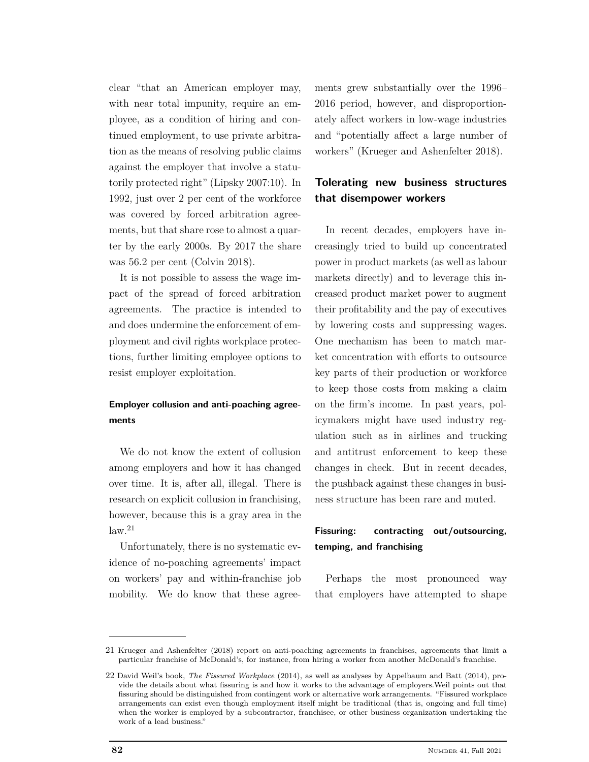clear "that an American employer may, with near total impunity, require an employee, as a condition of hiring and continued employment, to use private arbitration as the means of resolving public claims against the employer that involve a statutorily protected right" (Lipsky 2007:10). In 1992, just over 2 per cent of the workforce was covered by forced arbitration agreements, but that share rose to almost a quarter by the early 2000s. By 2017 the share was 56.2 per cent (Colvin 2018).

It is not possible to assess the wage impact of the spread of forced arbitration agreements. The practice is intended to and does undermine the enforcement of employment and civil rights workplace protections, further limiting employee options to resist employer exploitation.

## **Employer collusion and anti-poaching agreements**

We do not know the extent of collusion among employers and how it has changed over time. It is, after all, illegal. There is research on explicit collusion in franchising, however, because this is a gray area in the  $\mathrm{law.}^{21}$ 

Unfortunately, there is no systematic evidence of no-poaching agreements' impact on workers' pay and within-franchise job mobility. We do know that these agreements grew substantially over the 1996– 2016 period, however, and disproportionately affect workers in low-wage industries and "potentially affect a large number of workers" (Krueger and Ashenfelter 2018).

## **Tolerating new business structures that disempower workers**

In recent decades, employers have increasingly tried to build up concentrated power in product markets (as well as labour markets directly) and to leverage this increased product market power to augment their profitability and the pay of executives by lowering costs and suppressing wages. One mechanism has been to match market concentration with efforts to outsource key parts of their production or workforce to keep those costs from making a claim on the firm's income. In past years, policymakers might have used industry regulation such as in airlines and trucking and antitrust enforcement to keep these changes in check. But in recent decades, the pushback against these changes in business structure has been rare and muted.

## **Fissuring: contracting out/outsourcing, temping, and franchising**

Perhaps the most pronounced way that employers have attempted to shape

<sup>21</sup> Krueger and Ashenfelter (2018) report on anti-poaching agreements in franchises, agreements that limit a particular franchise of McDonald's, for instance, from hiring a worker from another McDonald's franchise.

<sup>22</sup> David Weil's book, *The Fissured Workplace* (2014), as well as analyses by Appelbaum and Batt (2014), provide the details about what fissuring is and how it works to the advantage of employers.Weil points out that fissuring should be distinguished from contingent work or alternative work arrangements. "Fissured workplace arrangements can exist even though employment itself might be traditional (that is, ongoing and full time) when the worker is employed by a subcontractor, franchisee, or other business organization undertaking the work of a lead business."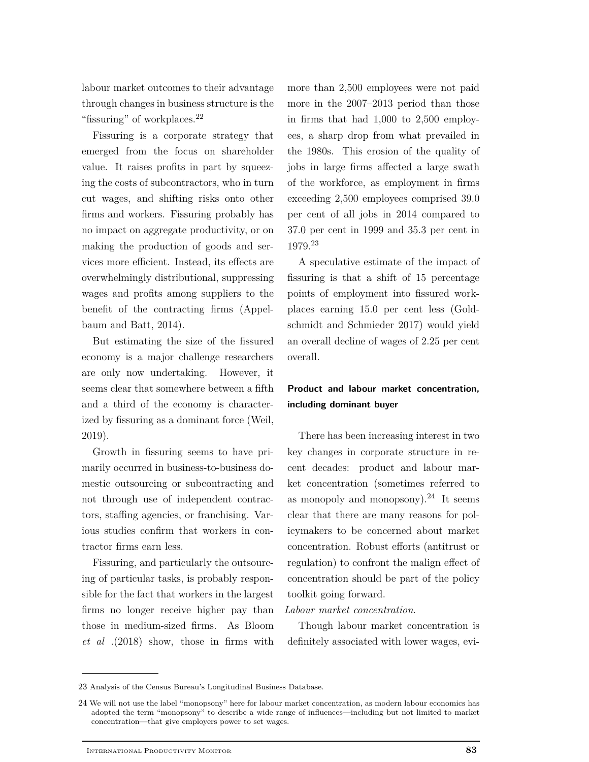labour market outcomes to their advantage through changes in business structure is the "fissuring" of workplaces.<sup>22</sup>

Fissuring is a corporate strategy that emerged from the focus on shareholder value. It raises profits in part by squeezing the costs of subcontractors, who in turn cut wages, and shifting risks onto other firms and workers. Fissuring probably has no impact on aggregate productivity, or on making the production of goods and services more efficient. Instead, its effects are overwhelmingly distributional, suppressing wages and profits among suppliers to the benefit of the contracting firms (Appelbaum and Batt, 2014).

But estimating the size of the fissured economy is a major challenge researchers are only now undertaking. However, it seems clear that somewhere between a fifth and a third of the economy is characterized by fissuring as a dominant force (Weil, 2019).

Growth in fissuring seems to have primarily occurred in business-to-business domestic outsourcing or subcontracting and not through use of independent contractors, staffing agencies, or franchising. Various studies confirm that workers in contractor firms earn less.

Fissuring, and particularly the outsourcing of particular tasks, is probably responsible for the fact that workers in the largest firms no longer receive higher pay than those in medium-sized firms. As Bloom *et al* .(2018) show, those in firms with

more than 2,500 employees were not paid more in the 2007–2013 period than those in firms that had 1,000 to 2,500 employees, a sharp drop from what prevailed in the 1980s. This erosion of the quality of jobs in large firms affected a large swath of the workforce, as employment in firms exceeding 2,500 employees comprised 39.0 per cent of all jobs in 2014 compared to 37.0 per cent in 1999 and 35.3 per cent in 1979.<sup>23</sup>

A speculative estimate of the impact of fissuring is that a shift of 15 percentage points of employment into fissured workplaces earning 15.0 per cent less (Goldschmidt and Schmieder 2017) would yield an overall decline of wages of 2.25 per cent overall.

## **Product and labour market concentration, including dominant buyer**

There has been increasing interest in two key changes in corporate structure in recent decades: product and labour market concentration (sometimes referred to as monopoly and monopsony). $24$  It seems clear that there are many reasons for policymakers to be concerned about market concentration. Robust efforts (antitrust or regulation) to confront the malign effect of concentration should be part of the policy toolkit going forward.

## *Labour market concentration*.

Though labour market concentration is definitely associated with lower wages, evi-

<sup>23</sup> Analysis of the Census Bureau's Longitudinal Business Database.

<sup>24</sup> We will not use the label "monopsony" here for labour market concentration, as modern labour economics has adopted the term "monopsony" to describe a wide range of influences—including but not limited to market concentration—that give employers power to set wages.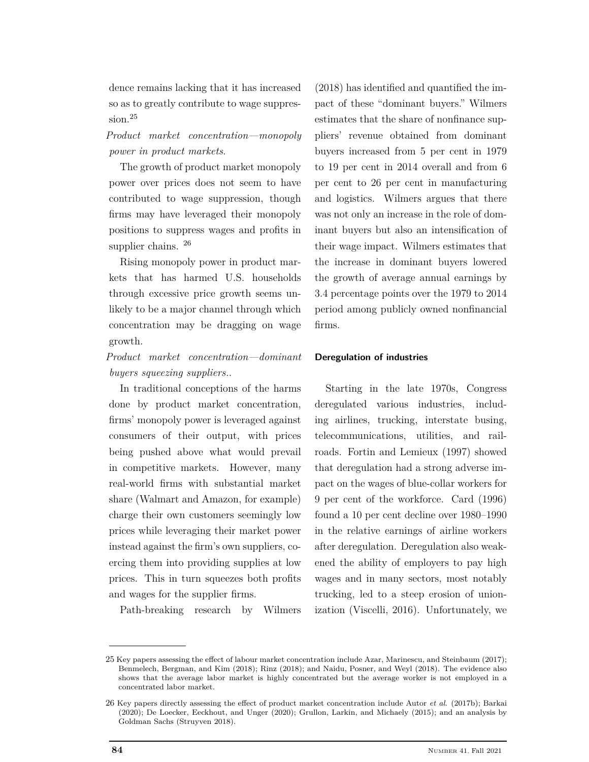dence remains lacking that it has increased so as to greatly contribute to wage suppression.<sup>25</sup>

*Product market concentration—monopoly power in product markets*.

The growth of product market monopoly power over prices does not seem to have contributed to wage suppression, though firms may have leveraged their monopoly positions to suppress wages and profits in supplier chains.  $^{26}$ 

Rising monopoly power in product markets that has harmed U.S. households through excessive price growth seems unlikely to be a major channel through which concentration may be dragging on wage growth.

*Product market concentration—dominant buyers squeezing suppliers.*.

In traditional conceptions of the harms done by product market concentration, firms' monopoly power is leveraged against consumers of their output, with prices being pushed above what would prevail in competitive markets. However, many real-world firms with substantial market share (Walmart and Amazon, for example) charge their own customers seemingly low prices while leveraging their market power instead against the firm's own suppliers, coercing them into providing supplies at low prices. This in turn squeezes both profits and wages for the supplier firms.

Path-breaking research by Wilmers

(2018) has identified and quantified the impact of these "dominant buyers." Wilmers estimates that the share of nonfinance suppliers' revenue obtained from dominant buyers increased from 5 per cent in 1979 to 19 per cent in 2014 overall and from 6 per cent to 26 per cent in manufacturing and logistics. Wilmers argues that there was not only an increase in the role of dominant buyers but also an intensification of their wage impact. Wilmers estimates that the increase in dominant buyers lowered the growth of average annual earnings by 3.4 percentage points over the 1979 to 2014 period among publicly owned nonfinancial firms.

## **Deregulation of industries**

Starting in the late 1970s, Congress deregulated various industries, including airlines, trucking, interstate busing, telecommunications, utilities, and railroads. Fortin and Lemieux (1997) showed that deregulation had a strong adverse impact on the wages of blue-collar workers for 9 per cent of the workforce. Card (1996) found a 10 per cent decline over 1980–1990 in the relative earnings of airline workers after deregulation. Deregulation also weakened the ability of employers to pay high wages and in many sectors, most notably trucking, led to a steep erosion of unionization (Viscelli, 2016). Unfortunately, we

<sup>25</sup> Key papers assessing the effect of labour market concentration include Azar, Marinescu, and Steinbaum (2017); Benmelech, Bergman, and Kim (2018); Rinz (2018); and Naidu, Posner, and Weyl (2018). The evidence also shows that the average labor market is highly concentrated but the average worker is not employed in a concentrated labor market.

<sup>26</sup> Key papers directly assessing the effect of product market concentration include Autor *et al*. (2017b); Barkai (2020); De Loecker, Eeckhout, and Unger (2020); Grullon, Larkin, and Michaely (2015); and an analysis by Goldman Sachs (Struyven 2018).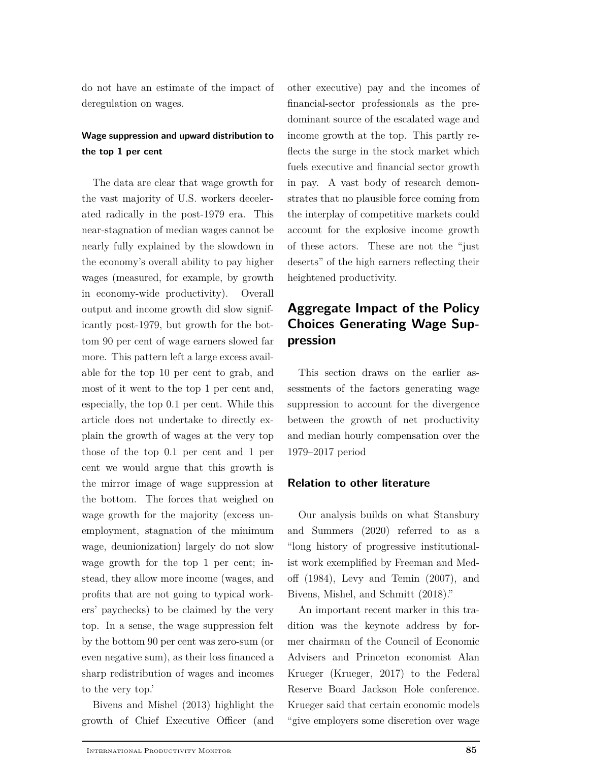do not have an estimate of the impact of deregulation on wages.

## **Wage suppression and upward distribution to the top 1 per cent**

The data are clear that wage growth for the vast majority of U.S. workers decelerated radically in the post-1979 era. This near-stagnation of median wages cannot be nearly fully explained by the slowdown in the economy's overall ability to pay higher wages (measured, for example, by growth in economy-wide productivity). Overall output and income growth did slow significantly post-1979, but growth for the bottom 90 per cent of wage earners slowed far more. This pattern left a large excess available for the top 10 per cent to grab, and most of it went to the top 1 per cent and, especially, the top 0.1 per cent. While this article does not undertake to directly explain the growth of wages at the very top those of the top 0.1 per cent and 1 per cent we would argue that this growth is the mirror image of wage suppression at the bottom. The forces that weighed on wage growth for the majority (excess unemployment, stagnation of the minimum wage, deunionization) largely do not slow wage growth for the top 1 per cent; instead, they allow more income (wages, and profits that are not going to typical workers' paychecks) to be claimed by the very top. In a sense, the wage suppression felt by the bottom 90 per cent was zero-sum (or even negative sum), as their loss financed a sharp redistribution of wages and incomes to the very top.'

Bivens and Mishel (2013) highlight the growth of Chief Executive Officer (and

other executive) pay and the incomes of financial-sector professionals as the predominant source of the escalated wage and income growth at the top. This partly reflects the surge in the stock market which fuels executive and financial sector growth in pay. A vast body of research demonstrates that no plausible force coming from the interplay of competitive markets could account for the explosive income growth of these actors. These are not the "just deserts" of the high earners reflecting their heightened productivity.

# **Aggregate Impact of the Policy Choices Generating Wage Suppression**

This section draws on the earlier assessments of the factors generating wage suppression to account for the divergence between the growth of net productivity and median hourly compensation over the 1979–2017 period

## **Relation to other literature**

Our analysis builds on what Stansbury and Summers (2020) referred to as a "long history of progressive institutionalist work exemplified by Freeman and Medoff (1984), Levy and Temin (2007), and Bivens, Mishel, and Schmitt (2018)."

An important recent marker in this tradition was the keynote address by former chairman of the Council of Economic Advisers and Princeton economist Alan Krueger (Krueger, 2017) to the Federal Reserve Board Jackson Hole conference. Krueger said that certain economic models "give employers some discretion over wage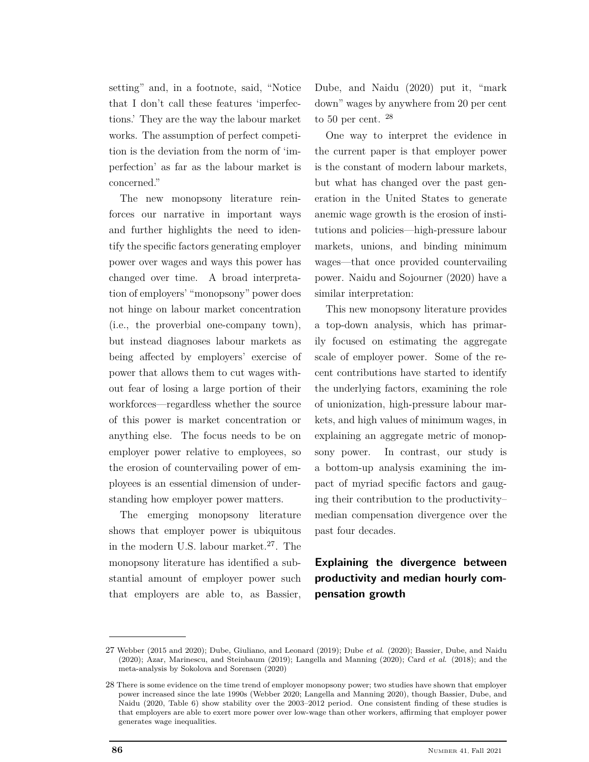setting" and, in a footnote, said, "Notice that I don't call these features 'imperfections.' They are the way the labour market works. The assumption of perfect competition is the deviation from the norm of 'imperfection' as far as the labour market is concerned."

The new monopsony literature reinforces our narrative in important ways and further highlights the need to identify the specific factors generating employer power over wages and ways this power has changed over time. A broad interpretation of employers' "monopsony" power does not hinge on labour market concentration (i.e., the proverbial one-company town), but instead diagnoses labour markets as being affected by employers' exercise of power that allows them to cut wages without fear of losing a large portion of their workforces—regardless whether the source of this power is market concentration or anything else. The focus needs to be on employer power relative to employees, so the erosion of countervailing power of employees is an essential dimension of understanding how employer power matters.

The emerging monopsony literature shows that employer power is ubiquitous in the modern U.S. labour market.<sup>27</sup>. The monopsony literature has identified a substantial amount of employer power such that employers are able to, as Bassier,

Dube, and Naidu (2020) put it, "mark down" wages by anywhere from 20 per cent to 50 per cent.  $^{28}$ 

One way to interpret the evidence in the current paper is that employer power is the constant of modern labour markets, but what has changed over the past generation in the United States to generate anemic wage growth is the erosion of institutions and policies—high-pressure labour markets, unions, and binding minimum wages—that once provided countervailing power. Naidu and Sojourner (2020) have a similar interpretation:

This new monopsony literature provides a top-down analysis, which has primarily focused on estimating the aggregate scale of employer power. Some of the recent contributions have started to identify the underlying factors, examining the role of unionization, high-pressure labour markets, and high values of minimum wages, in explaining an aggregate metric of monopsony power. In contrast, our study is a bottom-up analysis examining the impact of myriad specific factors and gauging their contribution to the productivity– median compensation divergence over the past four decades.

**Explaining the divergence between productivity and median hourly compensation growth**

<sup>27</sup> Webber (2015 and 2020); Dube, Giuliano, and Leonard (2019); Dube *et al*. (2020); Bassier, Dube, and Naidu (2020); Azar, Marinescu, and Steinbaum (2019); Langella and Manning (2020); Card *et al*. (2018); and the meta-analysis by Sokolova and Sorensen (2020)

<sup>28</sup> There is some evidence on the time trend of employer monopsony power; two studies have shown that employer power increased since the late 1990s (Webber 2020; Langella and Manning 2020), though Bassier, Dube, and Naidu (2020, Table 6) show stability over the 2003–2012 period. One consistent finding of these studies is that employers are able to exert more power over low-wage than other workers, affirming that employer power generates wage inequalities.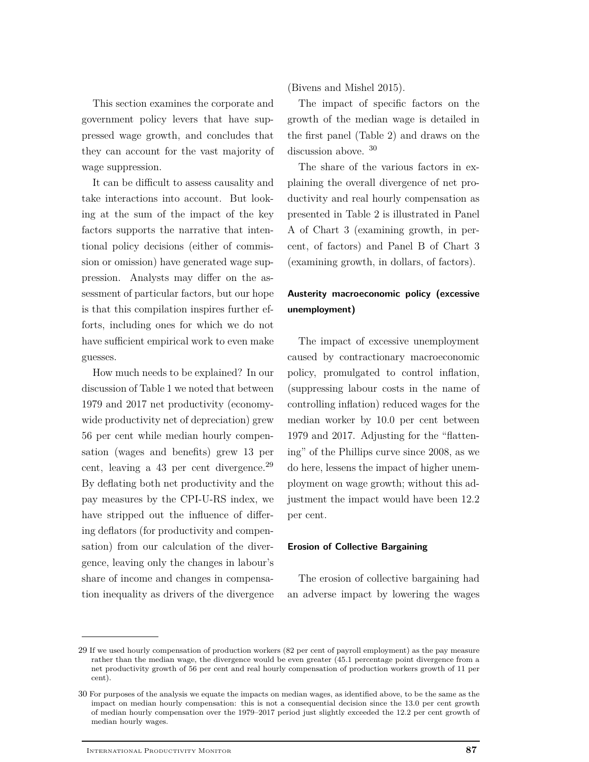This section examines the corporate and government policy levers that have suppressed wage growth, and concludes that they can account for the vast majority of wage suppression.

It can be difficult to assess causality and take interactions into account. But looking at the sum of the impact of the key factors supports the narrative that intentional policy decisions (either of commission or omission) have generated wage suppression. Analysts may differ on the assessment of particular factors, but our hope is that this compilation inspires further efforts, including ones for which we do not have sufficient empirical work to even make guesses.

How much needs to be explained? In our discussion of Table 1 we noted that between 1979 and 2017 net productivity (economywide productivity net of depreciation) grew 56 per cent while median hourly compensation (wages and benefits) grew 13 per cent, leaving a 43 per cent divergence.<sup>29</sup> By deflating both net productivity and the pay measures by the CPI-U-RS index, we have stripped out the influence of differing deflators (for productivity and compensation) from our calculation of the divergence, leaving only the changes in labour's share of income and changes in compensation inequality as drivers of the divergence (Bivens and Mishel 2015).

The impact of specific factors on the growth of the median wage is detailed in the first panel (Table 2) and draws on the discussion above. <sup>30</sup>

The share of the various factors in explaining the overall divergence of net productivity and real hourly compensation as presented in Table 2 is illustrated in Panel A of Chart 3 (examining growth, in percent, of factors) and Panel B of Chart 3 (examining growth, in dollars, of factors).

## **Austerity macroeconomic policy (excessive unemployment)**

The impact of excessive unemployment caused by contractionary macroeconomic policy, promulgated to control inflation, (suppressing labour costs in the name of controlling inflation) reduced wages for the median worker by 10.0 per cent between 1979 and 2017. Adjusting for the "flattening" of the Phillips curve since 2008, as we do here, lessens the impact of higher unemployment on wage growth; without this adjustment the impact would have been 12.2 per cent.

## **Erosion of Collective Bargaining**

The erosion of collective bargaining had an adverse impact by lowering the wages

<sup>29</sup> If we used hourly compensation of production workers (82 per cent of payroll employment) as the pay measure rather than the median wage, the divergence would be even greater (45.1 percentage point divergence from a net productivity growth of 56 per cent and real hourly compensation of production workers growth of 11 per cent).

<sup>30</sup> For purposes of the analysis we equate the impacts on median wages, as identified above, to be the same as the impact on median hourly compensation: this is not a consequential decision since the 13.0 per cent growth of median hourly compensation over the 1979–2017 period just slightly exceeded the 12.2 per cent growth of median hourly wages.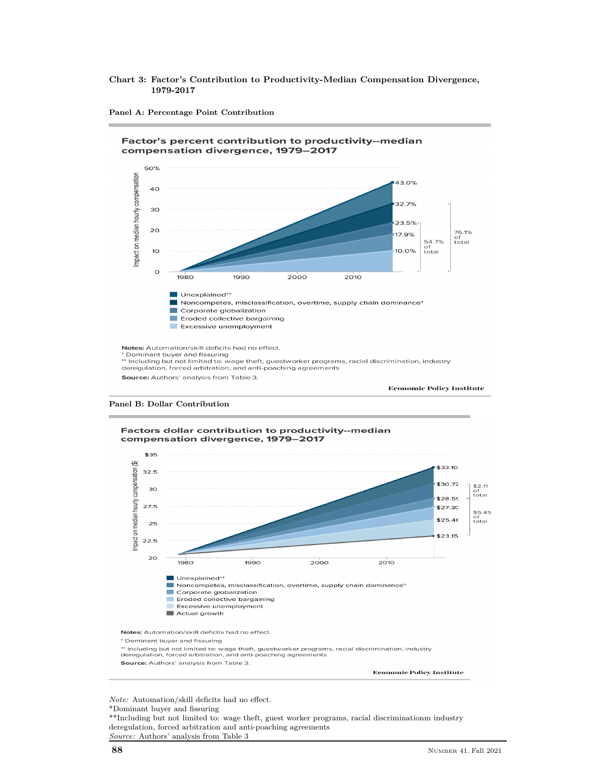#### **Chart 3: Factor's Contribution to Productivity-Median Compensation Divergence, 1979-2017**



**Panel A: Percentage Point Contribution**





**Economic Policy Institute** 

*Note:* Automation/skill deficits had no effect. \*Dominant buyer and fissuring

\*\*Including but not limited to: wage theft, guest worker programs, racial discriminationm industry deregulation, forced arbitration and anti-poaching agreements *Source:* Authors' analysis from Table 3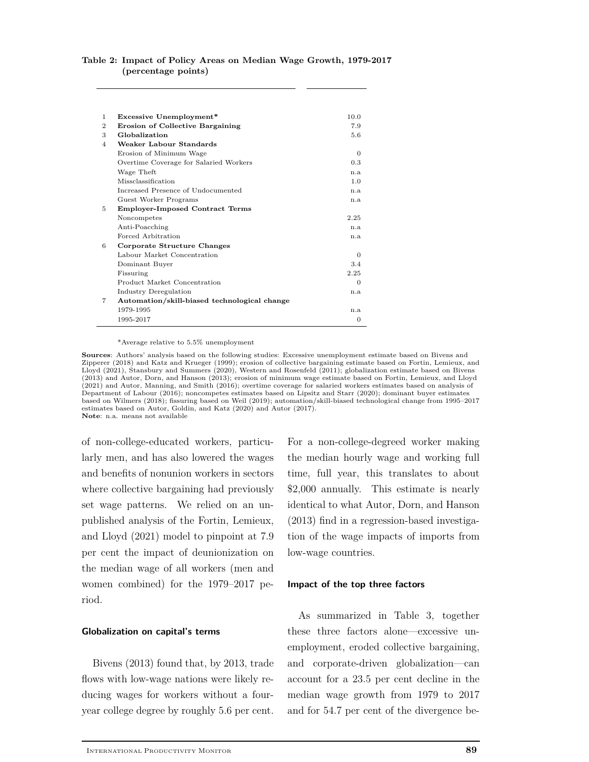#### **Table 2: Impact of Policy Areas on Median Wage Growth, 1979-2017 (percentage points)**

| <b>Excessive Unemployment*</b><br>1                       | 10.0     |
|-----------------------------------------------------------|----------|
| $\overline{2}$<br><b>Erosion of Collective Bargaining</b> | 7.9      |
| Globalization<br>3                                        | 5.6      |
| Weaker Labour Standards<br>4                              |          |
| Erosion of Minimum Wage                                   | $\Omega$ |
| Overtime Coverage for Salaried Workers                    | 0.3      |
| Wage Theft                                                | n.a.     |
| Missclassification                                        | 1.0      |
| Increased Presence of Undocumented                        | n.a      |
| Guest Worker Programs                                     | n.a.     |
| 5.<br><b>Employer-Imposed Contract Terms</b>              |          |
| Noncompetes                                               | 2.25     |
| Anti-Poacching                                            | n.a.     |
| Forced Arbitration                                        | n.a      |
| 6<br>Corporate Structure Changes                          |          |
| Labour Market Concentration                               | $\Omega$ |
| Dominant Buyer                                            | 3.4      |
| Fissuring                                                 | 2.25     |
| Product Market Concentration                              | $\Omega$ |
| Industry Deregulation                                     | n.a      |
| 7<br>Automation/skill-biased technological change         |          |
| 1979-1995                                                 | n.a      |
| 1995-2017                                                 | $\Omega$ |

\*Average relative to 5.5% unemployment

**Sources**: Authors' analysis based on the following studies: Excessive unemployment estimate based on Bivens and Zipperer (2018) and Katz and Krueger (1999); erosion of collective bargaining estimate based on Fortin, Lemieux, and Lloyd (2021), Stansbury and Summers (2020), Western and Rosenfeld (2011); globalization estimate based on Bivens (2013) and Autor, Dorn, and Hanson (2013); erosion of minimum wage estimate based on Fortin, Lemieux, and Lloyd (2021) and Autor, Manning, and Smith (2016); overtime coverage for salaried workers estimates based on analysis of Department of Labour (2016); noncompetes estimates based on Lipsitz and Starr (2020); dominant buyer estimates based on Wilmers (2018); fissuring based on Weil (2019); automation/skill-biased technological change from 1995–2017 estimates based on Autor, Goldin, and Katz (2020) and Autor (2017). **Note**: n.a. means not available

of non-college-educated workers, particularly men, and has also lowered the wages and benefits of nonunion workers in sectors where collective bargaining had previously set wage patterns. We relied on an unpublished analysis of the Fortin, Lemieux, and Lloyd (2021) model to pinpoint at 7.9 per cent the impact of deunionization on the median wage of all workers (men and women combined) for the 1979–2017 period.

#### **Globalization on capital's terms**

Bivens (2013) found that, by 2013, trade flows with low-wage nations were likely reducing wages for workers without a fouryear college degree by roughly 5.6 per cent.

For a non-college-degreed worker making the median hourly wage and working full time, full year, this translates to about \$2,000 annually. This estimate is nearly identical to what Autor, Dorn, and Hanson (2013) find in a regression-based investigation of the wage impacts of imports from low-wage countries.

#### **Impact of the top three factors**

As summarized in Table 3, together these three factors alone—excessive unemployment, eroded collective bargaining, and corporate-driven globalization—can account for a 23.5 per cent decline in the median wage growth from 1979 to 2017 and for 54.7 per cent of the divergence be-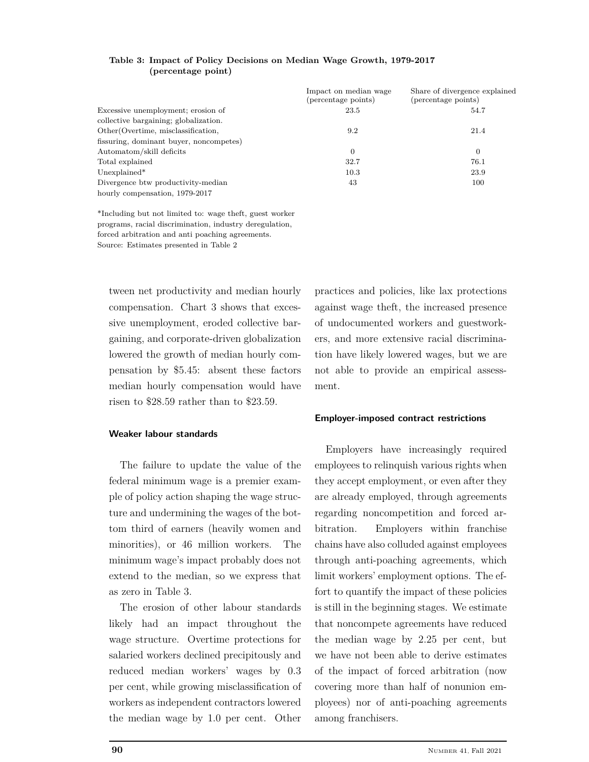|                                         | Impact on median wage<br>(percentage points) | Share of divergence explained<br>(percentage points) |
|-----------------------------------------|----------------------------------------------|------------------------------------------------------|
| Excessive unemployment; erosion of      | 23.5                                         | 54.7                                                 |
| collective bargaining; globalization.   |                                              |                                                      |
| Other (Overtime, misclassification,     | 9.2                                          | 21.4                                                 |
| fissuring, dominant buyer, noncompetes) |                                              |                                                      |
| Automatom/skill deficits                | $\overline{0}$                               | 0                                                    |
| Total explained                         | 32.7                                         | 76.1                                                 |
| Unexplained*                            | 10.3                                         | 23.9                                                 |
| Divergence btw productivity-median      | 43                                           | 100                                                  |
| hourly compensation, 1979-2017          |                                              |                                                      |

**Table 3: Impact of Policy Decisions on Median Wage Growth, 1979-2017 (percentage point)**

\*Including but not limited to: wage theft, guest worker programs, racial discrimination, industry deregulation, forced arbitration and anti poaching agreements. Source: Estimates presented in Table 2

tween net productivity and median hourly compensation. Chart 3 shows that excessive unemployment, eroded collective bargaining, and corporate-driven globalization lowered the growth of median hourly compensation by \$5.45: absent these factors median hourly compensation would have risen to \$28.59 rather than to \$23.59.

## **Weaker labour standards**

The failure to update the value of the federal minimum wage is a premier example of policy action shaping the wage structure and undermining the wages of the bottom third of earners (heavily women and minorities), or 46 million workers. The minimum wage's impact probably does not extend to the median, so we express that as zero in Table 3.

The erosion of other labour standards likely had an impact throughout the wage structure. Overtime protections for salaried workers declined precipitously and reduced median workers' wages by 0.3 per cent, while growing misclassification of workers as independent contractors lowered the median wage by 1.0 per cent. Other

practices and policies, like lax protections against wage theft, the increased presence of undocumented workers and guestworkers, and more extensive racial discrimination have likely lowered wages, but we are not able to provide an empirical assessment.

## **Employer-imposed contract restrictions**

Employers have increasingly required employees to relinquish various rights when they accept employment, or even after they are already employed, through agreements regarding noncompetition and forced arbitration. Employers within franchise chains have also colluded against employees through anti-poaching agreements, which limit workers' employment options. The effort to quantify the impact of these policies is still in the beginning stages. We estimate that noncompete agreements have reduced the median wage by 2.25 per cent, but we have not been able to derive estimates of the impact of forced arbitration (now covering more than half of nonunion employees) nor of anti-poaching agreements among franchisers.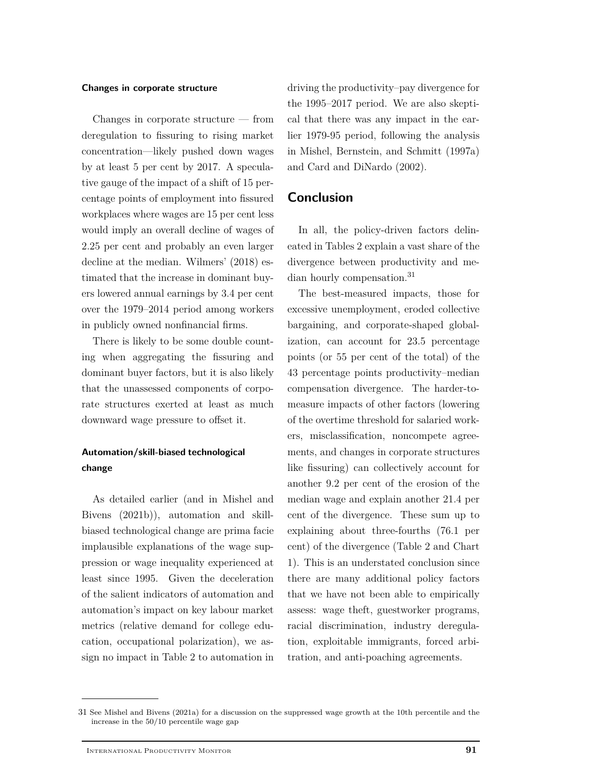#### **Changes in corporate structure**

Changes in corporate structure — from deregulation to fissuring to rising market concentration—likely pushed down wages by at least 5 per cent by 2017. A speculative gauge of the impact of a shift of 15 percentage points of employment into fissured workplaces where wages are 15 per cent less would imply an overall decline of wages of 2.25 per cent and probably an even larger decline at the median. Wilmers' (2018) estimated that the increase in dominant buyers lowered annual earnings by 3.4 per cent over the 1979–2014 period among workers in publicly owned nonfinancial firms.

There is likely to be some double counting when aggregating the fissuring and dominant buyer factors, but it is also likely that the unassessed components of corporate structures exerted at least as much downward wage pressure to offset it.

## **Automation/skill-biased technological change**

As detailed earlier (and in Mishel and Bivens (2021b)), automation and skillbiased technological change are prima facie implausible explanations of the wage suppression or wage inequality experienced at least since 1995. Given the deceleration of the salient indicators of automation and automation's impact on key labour market metrics (relative demand for college education, occupational polarization), we assign no impact in Table 2 to automation in

driving the productivity–pay divergence for the 1995–2017 period. We are also skeptical that there was any impact in the earlier 1979-95 period, following the analysis in Mishel, Bernstein, and Schmitt (1997a) and Card and DiNardo (2002).

## **Conclusion**

In all, the policy-driven factors delineated in Tables 2 explain a vast share of the divergence between productivity and median hourly compensation.<sup>31</sup>

The best-measured impacts, those for excessive unemployment, eroded collective bargaining, and corporate-shaped globalization, can account for 23.5 percentage points (or 55 per cent of the total) of the 43 percentage points productivity–median compensation divergence. The harder-tomeasure impacts of other factors (lowering of the overtime threshold for salaried workers, misclassification, noncompete agreements, and changes in corporate structures like fissuring) can collectively account for another 9.2 per cent of the erosion of the median wage and explain another 21.4 per cent of the divergence. These sum up to explaining about three-fourths (76.1 per cent) of the divergence (Table 2 and Chart 1). This is an understated conclusion since there are many additional policy factors that we have not been able to empirically assess: wage theft, guestworker programs, racial discrimination, industry deregulation, exploitable immigrants, forced arbitration, and anti-poaching agreements.

<sup>31</sup> See Mishel and Bivens (2021a) for a discussion on the suppressed wage growth at the 10th percentile and the increase in the 50/10 percentile wage gap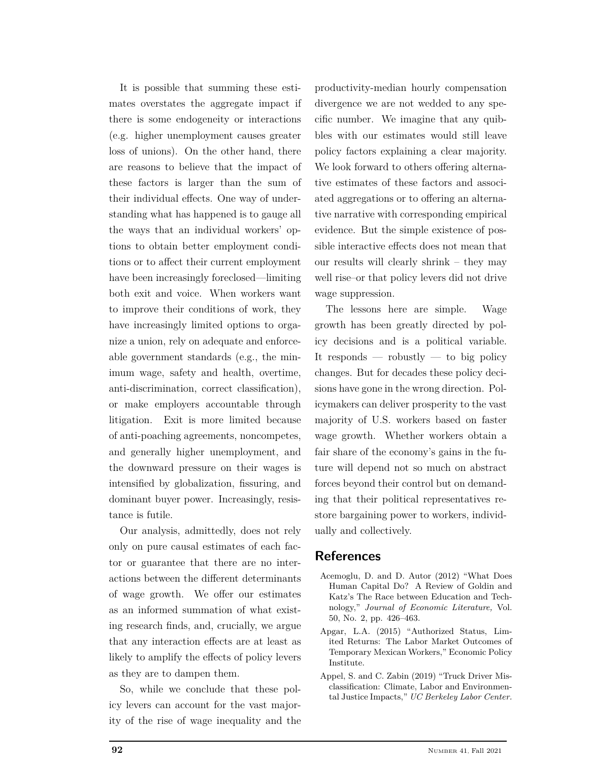It is possible that summing these estimates overstates the aggregate impact if there is some endogeneity or interactions (e.g. higher unemployment causes greater loss of unions). On the other hand, there are reasons to believe that the impact of these factors is larger than the sum of their individual effects. One way of understanding what has happened is to gauge all the ways that an individual workers' options to obtain better employment conditions or to affect their current employment have been increasingly foreclosed—limiting both exit and voice. When workers want to improve their conditions of work, they have increasingly limited options to organize a union, rely on adequate and enforceable government standards (e.g., the minimum wage, safety and health, overtime, anti-discrimination, correct classification), or make employers accountable through litigation. Exit is more limited because of anti-poaching agreements, noncompetes, and generally higher unemployment, and the downward pressure on their wages is intensified by globalization, fissuring, and dominant buyer power. Increasingly, resistance is futile.

Our analysis, admittedly, does not rely only on pure causal estimates of each factor or guarantee that there are no interactions between the different determinants of wage growth. We offer our estimates as an informed summation of what existing research finds, and, crucially, we argue that any interaction effects are at least as likely to amplify the effects of policy levers as they are to dampen them.

So, while we conclude that these policy levers can account for the vast majority of the rise of wage inequality and the

productivity-median hourly compensation divergence we are not wedded to any specific number. We imagine that any quibbles with our estimates would still leave policy factors explaining a clear majority. We look forward to others offering alternative estimates of these factors and associated aggregations or to offering an alternative narrative with corresponding empirical evidence. But the simple existence of possible interactive effects does not mean that our results will clearly shrink – they may well rise–or that policy levers did not drive wage suppression.

The lessons here are simple. Wage growth has been greatly directed by policy decisions and is a political variable. It responds  $-$  robustly  $-$  to big policy changes. But for decades these policy decisions have gone in the wrong direction. Policymakers can deliver prosperity to the vast majority of U.S. workers based on faster wage growth. Whether workers obtain a fair share of the economy's gains in the future will depend not so much on abstract forces beyond their control but on demanding that their political representatives restore bargaining power to workers, individually and collectively.

# **References**

- Acemoglu, D. and D. Autor (2012) "What Does Human Capital Do? A Review of Goldin and Katz's The Race between Education and Technology," *Journal of Economic Literature,* Vol. 50, No. 2, pp. 426–463.
- Apgar, L.A. (2015) "Authorized Status, Limited Returns: The Labor Market Outcomes of Temporary Mexican Workers," Economic Policy Institute.
- Appel, S. and C. Zabin (2019) "Truck Driver Misclassification: Climate, Labor and Environmental Justice Impacts," *UC Berkeley Labor Center.*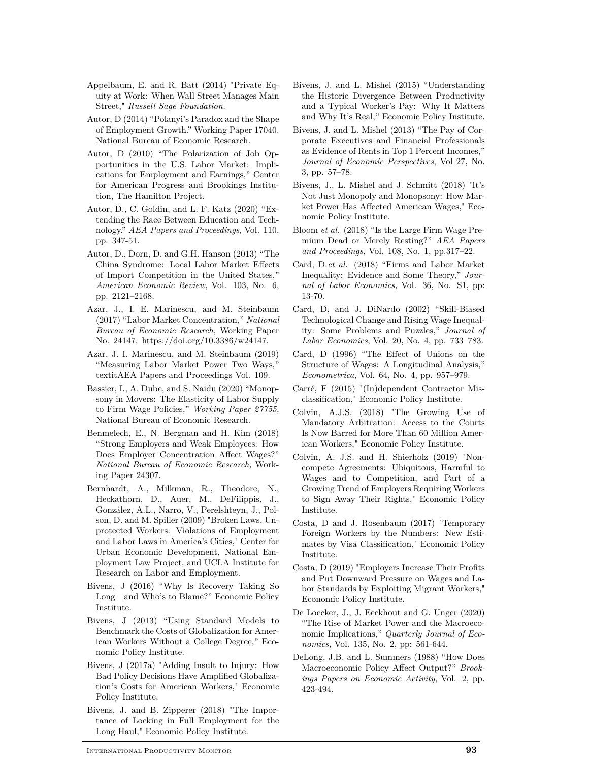- Appelbaum, E. and R. Batt (2014) "Private Equity at Work: When Wall Street Manages Main Street," *Russell Sage Foundation.*
- Autor, D (2014) "Polanyi's Paradox and the Shape of Employment Growth." Working Paper 17040. National Bureau of Economic Research.
- Autor, D (2010) "The Polarization of Job Opportunities in the U.S. Labor Market: Implications for Employment and Earnings," Center for American Progress and Brookings Institution, The Hamilton Project.
- Autor, D., C. Goldin, and L. F. Katz (2020) "Extending the Race Between Education and Technology." *AEA Papers and Proceedings,* Vol. 110, pp. 347-51.
- Autor, D., Dorn, D. and G.H. Hanson (2013) "The China Syndrome: Local Labor Market Effects of Import Competition in the United States," *American Economic Review*, Vol. 103, No. 6, pp. 2121–2168.
- Azar, J., I. E. Marinescu, and M. Steinbaum (2017) "Labor Market Concentration," *National Bureau of Economic Research,* Working Paper No. 24147. https://doi.org/10.3386/w24147.
- Azar, J. I. Marinescu, and M. Steinbaum (2019) "Measuring Labor Market Power Two Ways, textitAEA Papers and Proceedings Vol. 109.
- Bassier, I., A. Dube, and S. Naidu (2020) "Monopsony in Movers: The Elasticity of Labor Supply to Firm Wage Policies," *Working Paper 27755*, National Bureau of Economic Research.
- Benmelech, E., N. Bergman and H. Kim (2018) "Strong Employers and Weak Employees: How Does Employer Concentration Affect Wages?" *National Bureau of Economic Research,* Working Paper 24307.
- Bernhardt, A., Milkman, R., Theodore, N., Heckathorn, D., Auer, M., DeFilippis, J., González, A.L., Narro, V., Perelshteyn, J., Polson, D. and M. Spiller (2009) "Broken Laws, Unprotected Workers: Violations of Employment and Labor Laws in America's Cities," Center for Urban Economic Development, National Employment Law Project, and UCLA Institute for Research on Labor and Employment.
- Bivens, J (2016) "Why Is Recovery Taking So Long—and Who's to Blame?" Economic Policy Institute.
- Bivens, J (2013) "Using Standard Models to Benchmark the Costs of Globalization for American Workers Without a College Degree," Economic Policy Institute.
- Bivens, J (2017a) "Adding Insult to Injury: How Bad Policy Decisions Have Amplified Globalization's Costs for American Workers," Economic Policy Institute.
- Bivens, J. and B. Zipperer (2018) "The Importance of Locking in Full Employment for the Long Haul," Economic Policy Institute.
- Bivens, J. and L. Mishel (2015) "Understanding the Historic Divergence Between Productivity and a Typical Worker's Pay: Why It Matters and Why It's Real," Economic Policy Institute.
- Bivens, J. and L. Mishel (2013) "The Pay of Corporate Executives and Financial Professionals as Evidence of Rents in Top 1 Percent Incomes," *Journal of Economic Perspectives*, Vol 27, No. 3, pp. 57–78.
- Bivens, J., L. Mishel and J. Schmitt (2018) "It's Not Just Monopoly and Monopsony: How Market Power Has Affected American Wages," Economic Policy Institute.
- Bloom *et al.* (2018) "Is the Large Firm Wage Premium Dead or Merely Resting?" *AEA Papers and Proceedings,* Vol. 108, No. 1, pp.317–22.
- Card, D.*et al.* (2018) "Firms and Labor Market Inequality: Evidence and Some Theory," *Journal of Labor Economics,* Vol. 36, No. S1, pp: 13-70.
- Card, D, and J. DiNardo (2002) "Skill-Biased Technological Change and Rising Wage Inequality: Some Problems and Puzzles," *Journal of Labor Economics*, Vol. 20, No. 4, pp. 733–783.
- Card, D (1996) "The Effect of Unions on the Structure of Wages: A Longitudinal Analysis," *Econometrica*, Vol. 64, No. 4, pp. 957–979.
- Carré, F (2015) "(In)dependent Contractor Misclassification," Economic Policy Institute.
- Colvin, A.J.S. (2018) "The Growing Use of Mandatory Arbitration: Access to the Courts Is Now Barred for More Than 60 Million American Workers," Economic Policy Institute.
- Colvin, A. J.S. and H. Shierholz (2019) "Noncompete Agreements: Ubiquitous, Harmful to Wages and to Competition, and Part of a Growing Trend of Employers Requiring Workers to Sign Away Their Rights," Economic Policy Institute.
- Costa, D and J. Rosenbaum (2017) "Temporary Foreign Workers by the Numbers: New Estimates by Visa Classification," Economic Policy Institute.
- Costa, D (2019) "Employers Increase Their Profits and Put Downward Pressure on Wages and Labor Standards by Exploiting Migrant Workers," Economic Policy Institute.
- De Loecker, J., J. Eeckhout and G. Unger (2020) "The Rise of Market Power and the Macroeconomic Implications," *Quarterly Journal of Economics,* Vol. 135, No. 2, pp: 561-644.
- DeLong, J.B. and L. Summers (1988) "How Does Macroeconomic Policy Affect Output?" *Brookings Papers on Economic Activity*, Vol. 2, pp. 423-494.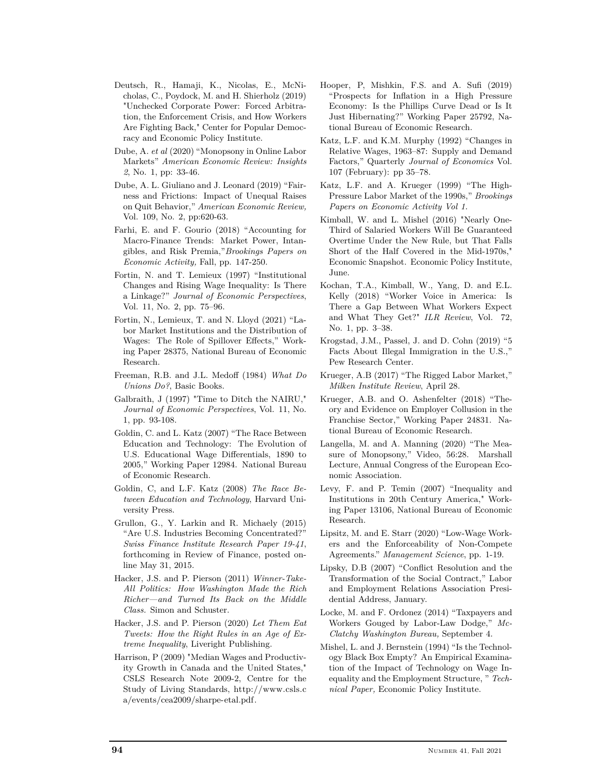- Deutsch, R., Hamaji, K., Nicolas, E., McNicholas, C., Poydock, M. and H. Shierholz (2019) "Unchecked Corporate Power: Forced Arbitration, the Enforcement Crisis, and How Workers Are Fighting Back," Center for Popular Democracy and Economic Policy Institute.
- Dube, A. *et al* (2020) "Monopsony in Online Labor Markets" *American Economic Review: Insights 2*, No. 1, pp: 33-46.
- Dube, A. L. Giuliano and J. Leonard (2019) "Fairness and Frictions: Impact of Unequal Raises on Quit Behavior," *American Economic Review,* Vol. 109, No. 2, pp:620-63.
- Farhi, E. and F. Gourio (2018) "Accounting for Macro-Finance Trends: Market Power, Intangibles, and Risk Premia,"*Brookings Papers on Economic Activity,* Fall, pp. 147-250.
- Fortin, N. and T. Lemieux (1997) "Institutional Changes and Rising Wage Inequality: Is There a Linkage?" *Journal of Economic Perspectives*, Vol. 11, No. 2, pp. 75–96.
- Fortin, N., Lemieux, T. and N. Lloyd (2021) "Labor Market Institutions and the Distribution of Wages: The Role of Spillover Effects," Working Paper 28375, National Bureau of Economic Research.
- Freeman, R.B. and J.L. Medoff (1984) *What Do Unions Do?*, Basic Books.
- Galbraith, J (1997) "Time to Ditch the NAIRU," *Journal of Economic Perspectives*, Vol. 11, No. 1, pp. 93-108.
- Goldin, C. and L. Katz (2007) "The Race Between Education and Technology: The Evolution of U.S. Educational Wage Differentials, 1890 to 2005," Working Paper 12984. National Bureau of Economic Research.
- Goldin, C, and L.F. Katz (2008) *The Race Between Education and Technology*, Harvard University Press.
- Grullon, G., Y. Larkin and R. Michaely (2015) "Are U.S. Industries Becoming Concentrated?" *Swiss Finance Institute Research Paper 19-41*, forthcoming in Review of Finance, posted online May 31, 2015.
- Hacker, J.S. and P. Pierson (2011) *Winner-Take-All Politics: How Washington Made the Rich Richer—and Turned Its Back on the Middle Class.* Simon and Schuster.
- Hacker, J.S. and P. Pierson (2020) *Let Them Eat Tweets: How the Right Rules in an Age of Extreme Inequality*, Liveright Publishing.
- Harrison, P (2009) "Median Wages and Productivity Growth in Canada and the United States," CSLS Research Note 2009-2, Centre for the Study of Living Standards, http://www.csls.c a/events/cea2009/sharpe-etal.pdf.
- Hooper, P, Mishkin, F.S. and A. Sufi (2019) "Prospects for Inflation in a High Pressure Economy: Is the Phillips Curve Dead or Is It Just Hibernating?" Working Paper 25792, National Bureau of Economic Research.
- Katz, L.F. and K.M. Murphy (1992) "Changes in Relative Wages, 1963–87: Supply and Demand Factors," Quarterly *Journal of Economics* Vol. 107 (February): pp 35–78.
- Katz, L.F. and A. Krueger (1999) "The High-Pressure Labor Market of the 1990s," *Brookings Papers on Economic Activity Vol 1.*
- Kimball, W. and L. Mishel (2016) "Nearly One-Third of Salaried Workers Will Be Guaranteed Overtime Under the New Rule, but That Falls Short of the Half Covered in the Mid-1970s," Economic Snapshot. Economic Policy Institute, June.
- Kochan, T.A., Kimball, W., Yang, D. and E.L. Kelly (2018) "Worker Voice in America: Is There a Gap Between What Workers Expect and What They Get?" *ILR Review*, Vol. 72, No. 1, pp. 3–38.
- Krogstad, J.M., Passel, J. and D. Cohn (2019) "5 Facts About Illegal Immigration in the U.S.," Pew Research Center.
- Krueger, A.B (2017) "The Rigged Labor Market," *Milken Institute Review*, April 28.
- Krueger, A.B. and O. Ashenfelter (2018) "Theory and Evidence on Employer Collusion in the Franchise Sector," Working Paper 24831. National Bureau of Economic Research.
- Langella, M. and A. Manning (2020) "The Measure of Monopsony," Video, 56:28. Marshall Lecture, Annual Congress of the European Economic Association.
- Levy, F. and P. Temin (2007) "Inequality and Institutions in 20th Century America," Working Paper 13106, National Bureau of Economic Research.
- Lipsitz, M. and E. Starr (2020) "Low-Wage Workers and the Enforceability of Non-Compete Agreements." *Management Science*, pp. 1-19.
- Lipsky, D.B (2007) "Conflict Resolution and the Transformation of the Social Contract," Labor and Employment Relations Association Presidential Address, January.
- Locke, M. and F. Ordonez (2014) "Taxpayers and Workers Gouged by Labor-Law Dodge," *Mc-Clatchy Washington Bureau,* September 4.
- Mishel, L. and J. Bernstein (1994) "Is the Technology Black Box Empty? An Empirical Examination of the Impact of Technology on Wage Inequality and the Employment Structure, " *Technical Paper,* Economic Policy Institute.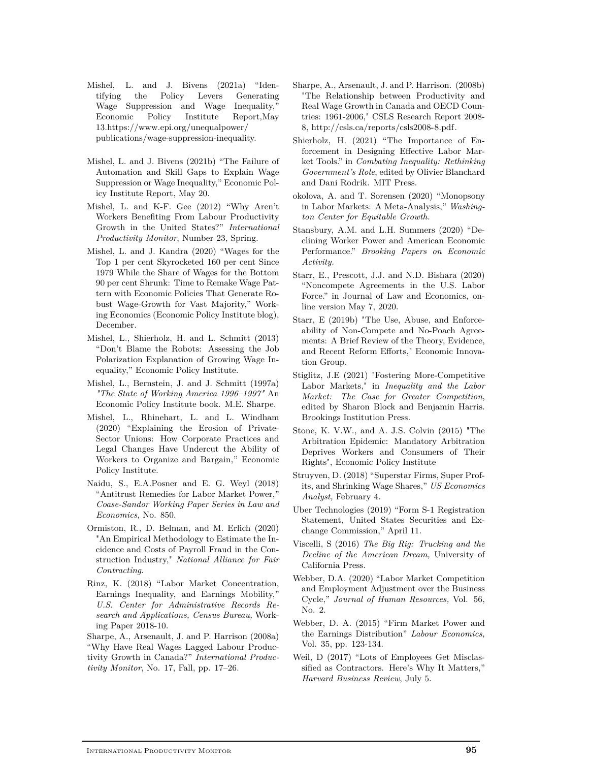- Mishel, L. and J. Bivens (2021a) "Identifying the Policy Levers Generating Wage Suppression and Wage Inequality," Economic Policy Institute Report,May 13.https://www.epi.org/unequalpower/ publications/wage-suppression-inequality.
- Mishel, L. and J. Bivens (2021b) "The Failure of Automation and Skill Gaps to Explain Wage Suppression or Wage Inequality," Economic Policy Institute Report, May 20.
- Mishel, L. and K-F. Gee (2012) "Why Aren't Workers Benefiting From Labour Productivity Growth in the United States?" *International Productivity Monitor*, Number 23, Spring.
- Mishel, L. and J. Kandra (2020) "Wages for the Top 1 per cent Skyrocketed 160 per cent Since 1979 While the Share of Wages for the Bottom 90 per cent Shrunk: Time to Remake Wage Pattern with Economic Policies That Generate Robust Wage-Growth for Vast Majority," Working Economics (Economic Policy Institute blog), December.
- Mishel, L., Shierholz, H. and L. Schmitt (2013) "Don't Blame the Robots: Assessing the Job Polarization Explanation of Growing Wage Inequality," Economic Policy Institute.
- Mishel, L., Bernstein, J. and J. Schmitt (1997a) *"The State of Working America 1996–1997"* An Economic Policy Institute book. M.E. Sharpe.
- Mishel, L., Rhinehart, L. and L. Windham (2020) "Explaining the Erosion of Private-Sector Unions: How Corporate Practices and Legal Changes Have Undercut the Ability of Workers to Organize and Bargain," Economic Policy Institute.
- Naidu, S., E.A.Posner and E. G. Weyl (2018) "Antitrust Remedies for Labor Market Power," *Coase-Sandor Working Paper Series in Law and Economics,* No. 850.
- Ormiston, R., D. Belman, and M. Erlich (2020) "An Empirical Methodology to Estimate the Incidence and Costs of Payroll Fraud in the Construction Industry," *National Alliance for Fair Contracting*.
- Rinz, K. (2018) "Labor Market Concentration, Earnings Inequality, and Earnings Mobility," *U.S. Center for Administrative Records Research and Applications, Census Bureau,* Working Paper 2018-10.
- Sharpe, A., Arsenault, J. and P. Harrison (2008a) "Why Have Real Wages Lagged Labour Productivity Growth in Canada?" *International Productivity Monitor*, No. 17, Fall, pp. 17–26.
- Sharpe, A., Arsenault, J. and P. Harrison. (2008b) "The Relationship between Productivity and Real Wage Growth in Canada and OECD Countries: 1961-2006," CSLS Research Report 2008- 8, http://csls.ca/reports/csls2008-8.pdf.
- Shierholz, H. (2021) "The Importance of Enforcement in Designing Effective Labor Market Tools." in *Combating Inequality: Rethinking Government's Role*, edited by Olivier Blanchard and Dani Rodrik. MIT Press.
- okolova, A. and T. Sorensen (2020) "Monopsony in Labor Markets: A Meta-Analysis," *Washington Center for Equitable Growth.*
- Stansbury, A.M. and L.H. Summers (2020) "Declining Worker Power and American Economic Performance." *Brooking Papers on Economic Activity.*
- Starr, E., Prescott, J.J. and N.D. Bishara (2020) "Noncompete Agreements in the U.S. Labor Force." in Journal of Law and Economics, online version May 7, 2020.
- Starr, E (2019b) "The Use, Abuse, and Enforceability of Non-Compete and No-Poach Agreements: A Brief Review of the Theory, Evidence, and Recent Reform Efforts," Economic Innovation Group.
- Stiglitz, J.E (2021) "Fostering More-Competitive Labor Markets," in *Inequality and the Labor Market: The Case for Greater Competition*, edited by Sharon Block and Benjamin Harris. Brookings Institution Press.
- Stone, K. V.W., and A. J.S. Colvin (2015) "The Arbitration Epidemic: Mandatory Arbitration Deprives Workers and Consumers of Their Rights", Economic Policy Institute
- Struyven, D. (2018) "Superstar Firms, Super Profits, and Shrinking Wage Shares," *US Economics Analyst,* February 4.
- Uber Technologies (2019) "Form S-1 Registration Statement, United States Securities and Exchange Commission," April 11.
- Viscelli, S (2016) *The Big Rig: Trucking and the Decline of the American Dream,* University of California Press.
- Webber, D.A. (2020) "Labor Market Competition and Employment Adjustment over the Business Cycle," *Journal of Human Resources,* Vol. 56, No. 2.
- Webber, D. A. (2015) "Firm Market Power and the Earnings Distribution" *Labour Economics,* Vol. 35, pp. 123-134.
- Weil, D (2017) "Lots of Employees Get Misclassified as Contractors. Here's Why It Matters," *Harvard Business Review*, July 5.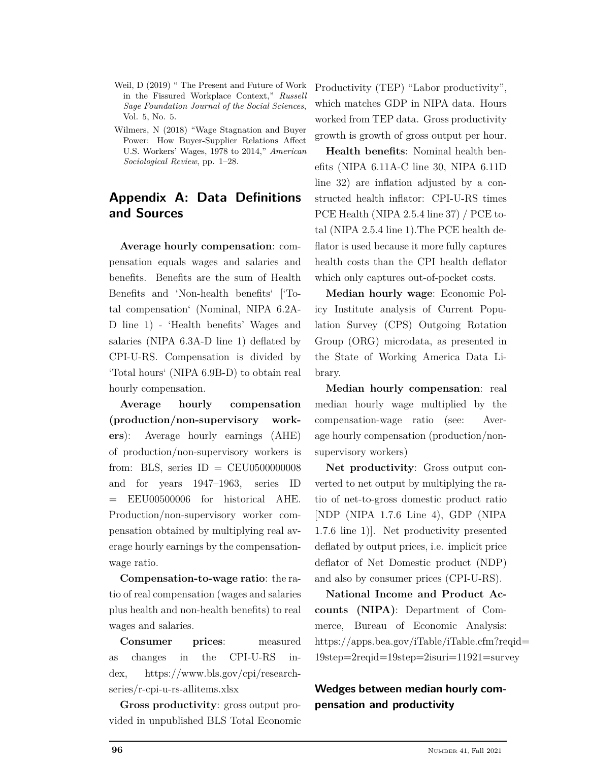- Weil, D (2019) " The Present and Future of Work in the Fissured Workplace Context," *Russell Sage Foundation Journal of the Social Sciences*, Vol. 5, No. 5.
- Wilmers, N (2018) "Wage Stagnation and Buyer Power: How Buyer-Supplier Relations Affect U.S. Workers' Wages, 1978 to 2014," *American Sociological Review*, pp. 1–28.

# **Appendix A: Data Definitions and Sources**

**Average hourly compensation**: compensation equals wages and salaries and benefits. Benefits are the sum of Health Benefits and 'Non-health benefits' ['Total compensation' (Nominal, NIPA 6.2A-D line 1) - 'Health benefits' Wages and salaries (NIPA 6.3A-D line 1) deflated by CPI-U-RS. Compensation is divided by 'Total hours' (NIPA 6.9B-D) to obtain real hourly compensation.

**Average hourly compensation (production/non-supervisory workers**): Average hourly earnings (AHE) of production/non-supervisory workers is from: BLS, series  $ID = CEU0500000008$ and for years 1947–1963, series ID = EEU00500006 for historical AHE. Production/non-supervisory worker compensation obtained by multiplying real average hourly earnings by the compensationwage ratio.

**Compensation-to-wage ratio**: the ratio of real compensation (wages and salaries plus health and non-health benefits) to real wages and salaries.

**Consumer prices**: measured as changes in the CPI-U-RS index, https://www.bls.gov/cpi/researchseries/r-cpi-u-rs-allitems.xlsx

**Gross productivity**: gross output provided in unpublished BLS Total Economic

Productivity (TEP) "Labor productivity", which matches GDP in NIPA data. Hours worked from TEP data. Gross productivity growth is growth of gross output per hour.

**Health benefits**: Nominal health benefits (NIPA 6.11A-C line 30, NIPA 6.11D line 32) are inflation adjusted by a constructed health inflator: CPI-U-RS times PCE Health (NIPA 2.5.4 line 37) / PCE total (NIPA 2.5.4 line 1).The PCE health deflator is used because it more fully captures health costs than the CPI health deflator which only captures out-of-pocket costs.

**Median hourly wage**: Economic Policy Institute analysis of Current Population Survey (CPS) Outgoing Rotation Group (ORG) microdata, as presented in the State of Working America Data Library.

**Median hourly compensation**: real median hourly wage multiplied by the compensation-wage ratio (see: Average hourly compensation (production/nonsupervisory workers)

**Net productivity**: Gross output converted to net output by multiplying the ratio of net-to-gross domestic product ratio [NDP (NIPA 1.7.6 Line 4), GDP (NIPA 1.7.6 line 1)]. Net productivity presented deflated by output prices, i.e. implicit price deflator of Net Domestic product (NDP) and also by consumer prices (CPI-U-RS).

**National Income and Product Accounts (NIPA)**: Department of Commerce, Bureau of Economic Analysis: https://apps.bea.gov/iTable/iTable.cfm?reqid= 19step=2reqid=19step=2isuri=11921=survey

# **Wedges between median hourly compensation and productivity**